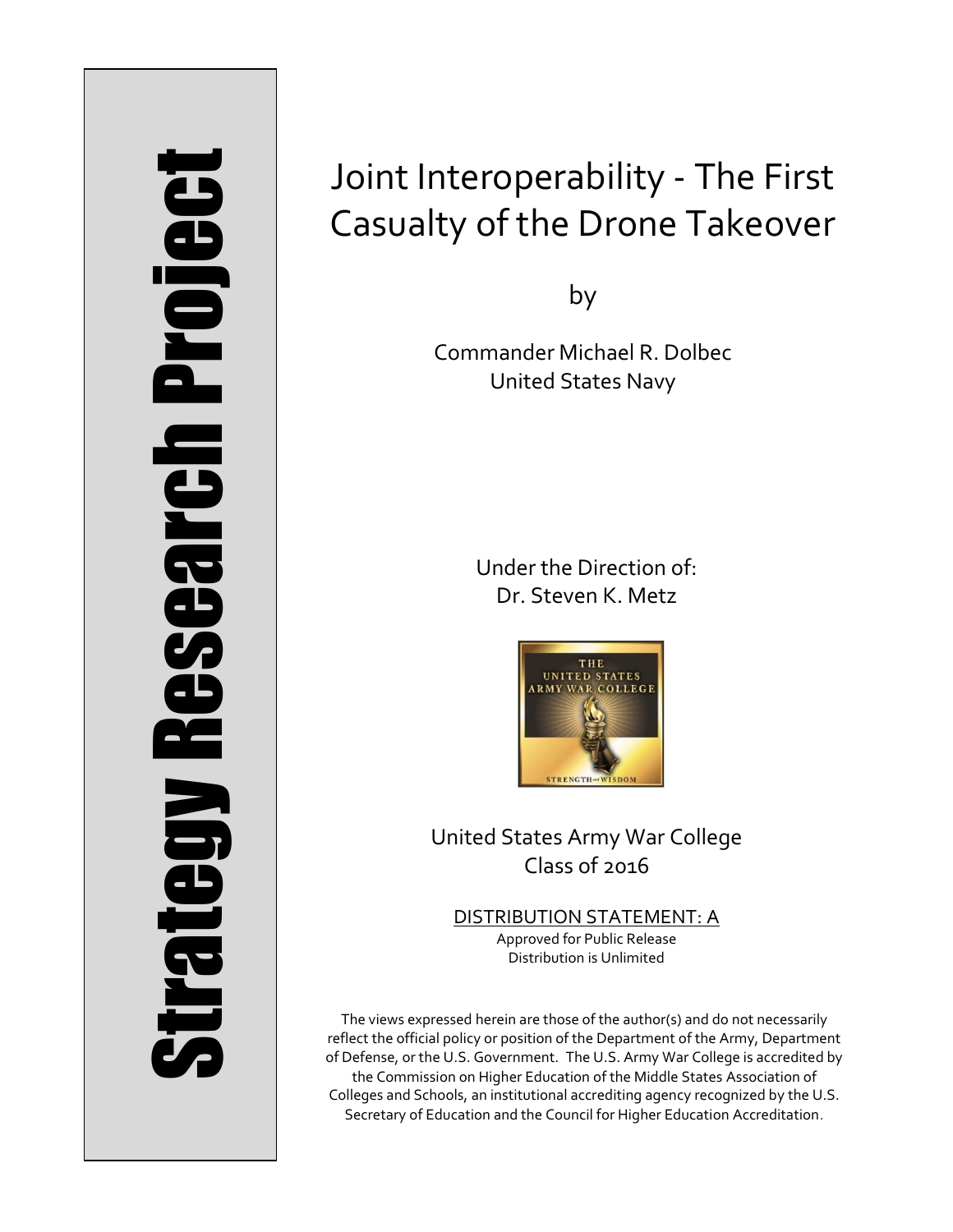# Strategy Research Project **Strategy Research Project**

# Joint Interoperability - The First Casualty of the Drone Takeover

by

Commander Michael R. Dolbec United States Navy

> Under the Direction of: Dr. Steven K. Metz



United States Army War College Class of 2016

DISTRIBUTION STATEMENT: A Approved for Public Release Distribution is Unlimited

The views expressed herein are those of the author(s) and do not necessarily reflect the official policy or position of the Department of the Army, Department of Defense, or the U.S. Government. The U.S. Army War College is accredited by the Commission on Higher Education of the Middle States Association of Colleges and Schools, an institutional accrediting agency recognized by the U.S. Secretary of Education and the Council for Higher Education Accreditation.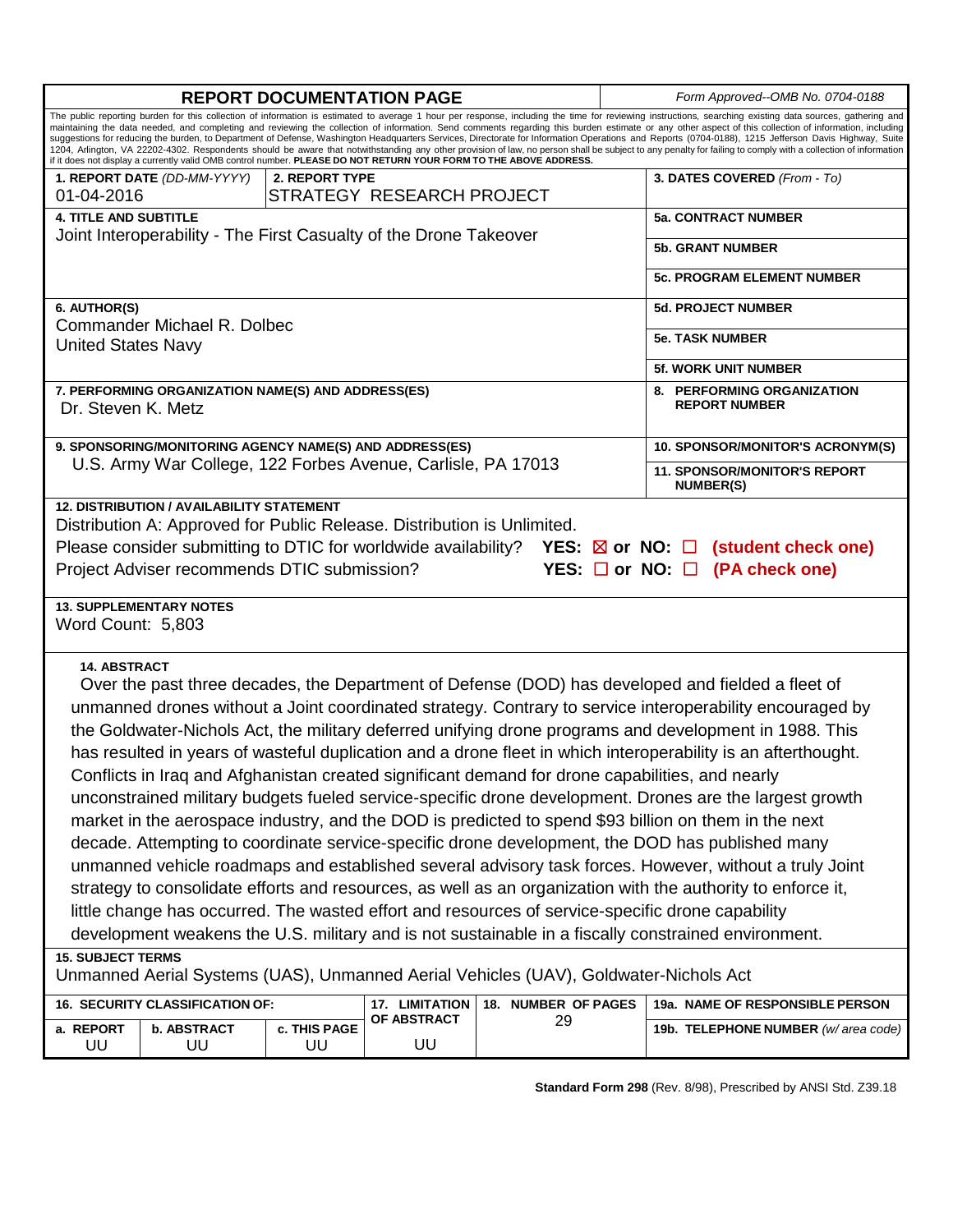|                                                                                                                                                                                                                                                                                                                                                                                                                                                                                                                                                                                                                                                                                                                                                                                                                                                                                                                                                                                                                                                                                                                                                                                                                                                                                                                              | <b>REPORT DOCUMENTATION PAGE</b>                                  |                    | Form Approved--OMB No. 0704-0188                   |                           |                                                         |                                     |  |  |  |  |
|------------------------------------------------------------------------------------------------------------------------------------------------------------------------------------------------------------------------------------------------------------------------------------------------------------------------------------------------------------------------------------------------------------------------------------------------------------------------------------------------------------------------------------------------------------------------------------------------------------------------------------------------------------------------------------------------------------------------------------------------------------------------------------------------------------------------------------------------------------------------------------------------------------------------------------------------------------------------------------------------------------------------------------------------------------------------------------------------------------------------------------------------------------------------------------------------------------------------------------------------------------------------------------------------------------------------------|-------------------------------------------------------------------|--------------------|----------------------------------------------------|---------------------------|---------------------------------------------------------|-------------------------------------|--|--|--|--|
| The public reporting burden for this collection of information is estimated to average 1 hour per response, including the time for reviewing instructions, searching existing data sources, gathering and<br>maintaining the data needed, and completing and reviewing the collection of information. Send comments regarding this burden estimate or any other aspect of this collection of information, including<br>suggestions for reducing the burden, to Department of Defense, Washington Headquarters Services, Directorate for Information Operations and Reports (0704-0188), 1215 Jefferson Davis Highway, Suite<br>1204, Arlington, VA 22202-4302. Respondents should be aware that notwithstanding any other provision of law, no person shall be subject to any penalty for failing to comply with a collection of information<br>if it does not display a currently valid OMB control number. PLEASE DO NOT RETURN YOUR FORM TO THE ABOVE ADDRESS.                                                                                                                                                                                                                                                                                                                                                            |                                                                   |                    |                                                    |                           |                                                         |                                     |  |  |  |  |
|                                                                                                                                                                                                                                                                                                                                                                                                                                                                                                                                                                                                                                                                                                                                                                                                                                                                                                                                                                                                                                                                                                                                                                                                                                                                                                                              | 1. REPORT DATE (DD-MM-YYYY)                                       |                    | 3. DATES COVERED (From - To)                       |                           |                                                         |                                     |  |  |  |  |
| 01-04-2016                                                                                                                                                                                                                                                                                                                                                                                                                                                                                                                                                                                                                                                                                                                                                                                                                                                                                                                                                                                                                                                                                                                                                                                                                                                                                                                   |                                                                   |                    |                                                    |                           |                                                         |                                     |  |  |  |  |
| <b>4. TITLE AND SUBTITLE</b>                                                                                                                                                                                                                                                                                                                                                                                                                                                                                                                                                                                                                                                                                                                                                                                                                                                                                                                                                                                                                                                                                                                                                                                                                                                                                                 |                                                                   |                    |                                                    |                           |                                                         | <b>5a. CONTRACT NUMBER</b>          |  |  |  |  |
|                                                                                                                                                                                                                                                                                                                                                                                                                                                                                                                                                                                                                                                                                                                                                                                                                                                                                                                                                                                                                                                                                                                                                                                                                                                                                                                              | Joint Interoperability - The First Casualty of the Drone Takeover |                    | <b>5b. GRANT NUMBER</b>                            |                           |                                                         |                                     |  |  |  |  |
|                                                                                                                                                                                                                                                                                                                                                                                                                                                                                                                                                                                                                                                                                                                                                                                                                                                                                                                                                                                                                                                                                                                                                                                                                                                                                                                              |                                                                   |                    |                                                    |                           |                                                         |                                     |  |  |  |  |
|                                                                                                                                                                                                                                                                                                                                                                                                                                                                                                                                                                                                                                                                                                                                                                                                                                                                                                                                                                                                                                                                                                                                                                                                                                                                                                                              |                                                                   |                    |                                                    |                           |                                                         | <b>5c. PROGRAM ELEMENT NUMBER</b>   |  |  |  |  |
| 6. AUTHOR(S)                                                                                                                                                                                                                                                                                                                                                                                                                                                                                                                                                                                                                                                                                                                                                                                                                                                                                                                                                                                                                                                                                                                                                                                                                                                                                                                 |                                                                   |                    |                                                    |                           |                                                         | <b>5d. PROJECT NUMBER</b>           |  |  |  |  |
|                                                                                                                                                                                                                                                                                                                                                                                                                                                                                                                                                                                                                                                                                                                                                                                                                                                                                                                                                                                                                                                                                                                                                                                                                                                                                                                              | Commander Michael R. Dolbec                                       |                    | <b>5e. TASK NUMBER</b>                             |                           |                                                         |                                     |  |  |  |  |
| <b>United States Navy</b>                                                                                                                                                                                                                                                                                                                                                                                                                                                                                                                                                                                                                                                                                                                                                                                                                                                                                                                                                                                                                                                                                                                                                                                                                                                                                                    |                                                                   |                    |                                                    |                           |                                                         |                                     |  |  |  |  |
|                                                                                                                                                                                                                                                                                                                                                                                                                                                                                                                                                                                                                                                                                                                                                                                                                                                                                                                                                                                                                                                                                                                                                                                                                                                                                                                              |                                                                   |                    |                                                    |                           |                                                         | <b>5f. WORK UNIT NUMBER</b>         |  |  |  |  |
| Dr. Steven K. Metz                                                                                                                                                                                                                                                                                                                                                                                                                                                                                                                                                                                                                                                                                                                                                                                                                                                                                                                                                                                                                                                                                                                                                                                                                                                                                                           | 7. PERFORMING ORGANIZATION NAME(S) AND ADDRESS(ES)                |                    | 8. PERFORMING ORGANIZATION<br><b>REPORT NUMBER</b> |                           |                                                         |                                     |  |  |  |  |
|                                                                                                                                                                                                                                                                                                                                                                                                                                                                                                                                                                                                                                                                                                                                                                                                                                                                                                                                                                                                                                                                                                                                                                                                                                                                                                                              | 9. SPONSORING/MONITORING AGENCY NAME(S) AND ADDRESS(ES)           |                    |                                                    |                           |                                                         | 10. SPONSOR/MONITOR'S ACRONYM(S)    |  |  |  |  |
|                                                                                                                                                                                                                                                                                                                                                                                                                                                                                                                                                                                                                                                                                                                                                                                                                                                                                                                                                                                                                                                                                                                                                                                                                                                                                                                              | U.S. Army War College, 122 Forbes Avenue, Carlisle, PA 17013      |                    |                                                    |                           | <b>11. SPONSOR/MONITOR'S REPORT</b><br><b>NUMBER(S)</b> |                                     |  |  |  |  |
| Distribution A: Approved for Public Release. Distribution is Unlimited.<br>Please consider submitting to DTIC for worldwide availability? YES: $\boxtimes$ or NO: $\square$<br>(student check one)<br>Project Adviser recommends DTIC submission?<br>YES: $\Box$ or NO: $\Box$<br>(PA check one)                                                                                                                                                                                                                                                                                                                                                                                                                                                                                                                                                                                                                                                                                                                                                                                                                                                                                                                                                                                                                             |                                                                   |                    |                                                    |                           |                                                         |                                     |  |  |  |  |
| <b>13. SUPPLEMENTARY NOTES</b><br>Word Count: 5,803                                                                                                                                                                                                                                                                                                                                                                                                                                                                                                                                                                                                                                                                                                                                                                                                                                                                                                                                                                                                                                                                                                                                                                                                                                                                          |                                                                   |                    |                                                    |                           |                                                         |                                     |  |  |  |  |
| <b>14. ABSTRACT</b><br>Over the past three decades, the Department of Defense (DOD) has developed and fielded a fleet of<br>unmanned drones without a Joint coordinated strategy. Contrary to service interoperability encouraged by<br>the Goldwater-Nichols Act, the military deferred unifying drone programs and development in 1988. This<br>has resulted in years of wasteful duplication and a drone fleet in which interoperability is an afterthought.<br>Conflicts in Iraq and Afghanistan created significant demand for drone capabilities, and nearly<br>unconstrained military budgets fueled service-specific drone development. Drones are the largest growth<br>market in the aerospace industry, and the DOD is predicted to spend \$93 billion on them in the next<br>decade. Attempting to coordinate service-specific drone development, the DOD has published many<br>unmanned vehicle roadmaps and established several advisory task forces. However, without a truly Joint<br>strategy to consolidate efforts and resources, as well as an organization with the authority to enforce it,<br>little change has occurred. The wasted effort and resources of service-specific drone capability<br>development weakens the U.S. military and is not sustainable in a fiscally constrained environment. |                                                                   |                    |                                                    |                           |                                                         |                                     |  |  |  |  |
| <b>15. SUBJECT TERMS</b><br>Unmanned Aerial Systems (UAS), Unmanned Aerial Vehicles (UAV), Goldwater-Nichols Act                                                                                                                                                                                                                                                                                                                                                                                                                                                                                                                                                                                                                                                                                                                                                                                                                                                                                                                                                                                                                                                                                                                                                                                                             |                                                                   |                    |                                                    |                           |                                                         |                                     |  |  |  |  |
|                                                                                                                                                                                                                                                                                                                                                                                                                                                                                                                                                                                                                                                                                                                                                                                                                                                                                                                                                                                                                                                                                                                                                                                                                                                                                                                              |                                                                   |                    |                                                    |                           |                                                         |                                     |  |  |  |  |
|                                                                                                                                                                                                                                                                                                                                                                                                                                                                                                                                                                                                                                                                                                                                                                                                                                                                                                                                                                                                                                                                                                                                                                                                                                                                                                                              | 16. SECURITY CLASSIFICATION OF:                                   |                    | 17. LIMITATION<br>OF ABSTRACT                      | 18. NUMBER OF PAGES<br>29 |                                                         | 19a. NAME OF RESPONSIBLE PERSON     |  |  |  |  |
| a. REPORT<br>UU                                                                                                                                                                                                                                                                                                                                                                                                                                                                                                                                                                                                                                                                                                                                                                                                                                                                                                                                                                                                                                                                                                                                                                                                                                                                                                              | <b>b. ABSTRACT</b><br>UU                                          | c. THIS PAGE<br>UU | UU                                                 |                           |                                                         | 19b. TELEPHONE NUMBER (w/area code) |  |  |  |  |

**Standard Form 298** (Rev. 8/98), Prescribed by ANSI Std. Z39.18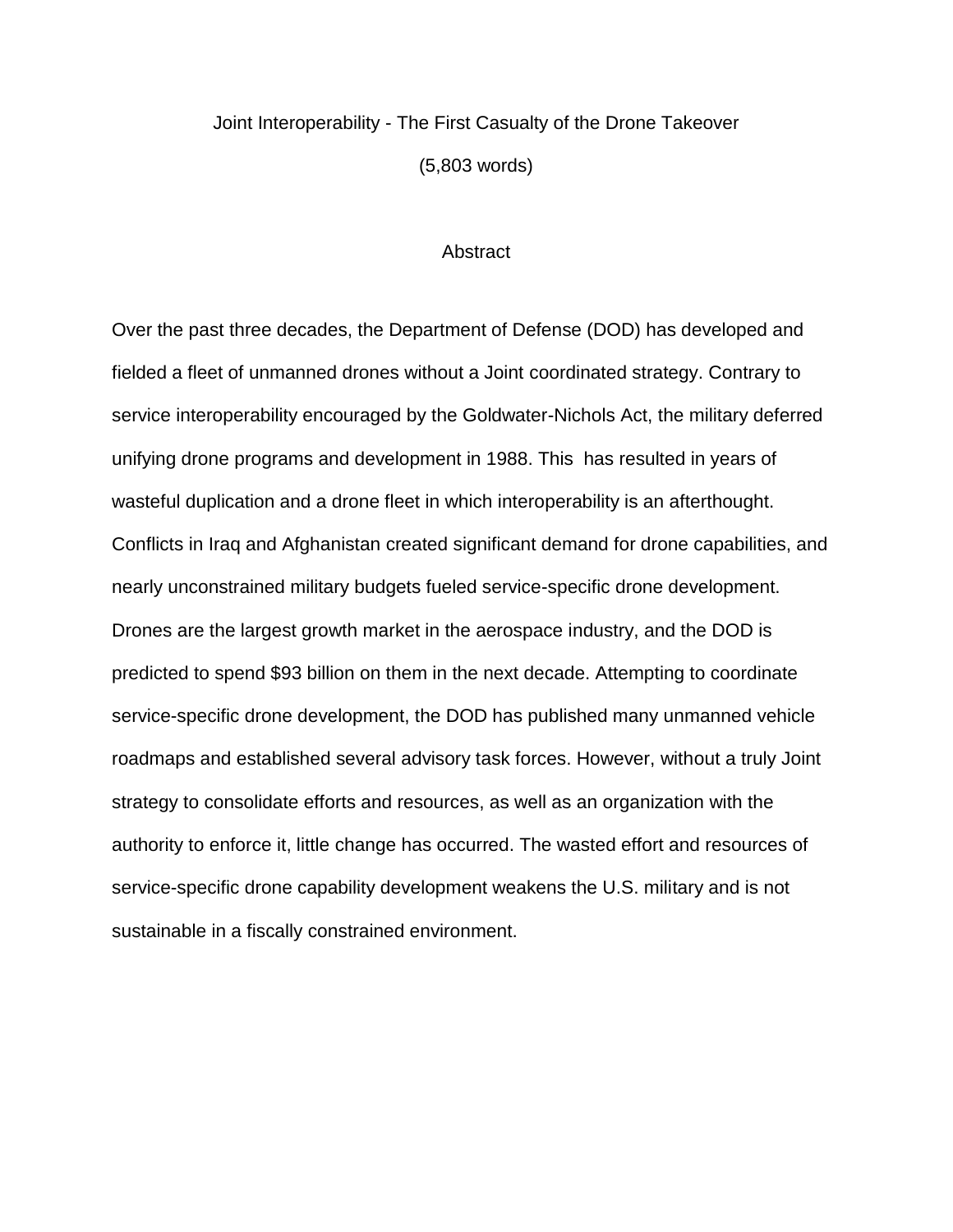## Joint Interoperability - The First Casualty of the Drone Takeover (5,803 words)

### **Abstract**

Over the past three decades, the Department of Defense (DOD) has developed and fielded a fleet of unmanned drones without a Joint coordinated strategy. Contrary to service interoperability encouraged by the Goldwater-Nichols Act, the military deferred unifying drone programs and development in 1988. This has resulted in years of wasteful duplication and a drone fleet in which interoperability is an afterthought. Conflicts in Iraq and Afghanistan created significant demand for drone capabilities, and nearly unconstrained military budgets fueled service-specific drone development. Drones are the largest growth market in the aerospace industry, and the DOD is predicted to spend \$93 billion on them in the next decade. Attempting to coordinate service-specific drone development, the DOD has published many unmanned vehicle roadmaps and established several advisory task forces. However, without a truly Joint strategy to consolidate efforts and resources, as well as an organization with the authority to enforce it, little change has occurred. The wasted effort and resources of service-specific drone capability development weakens the U.S. military and is not sustainable in a fiscally constrained environment.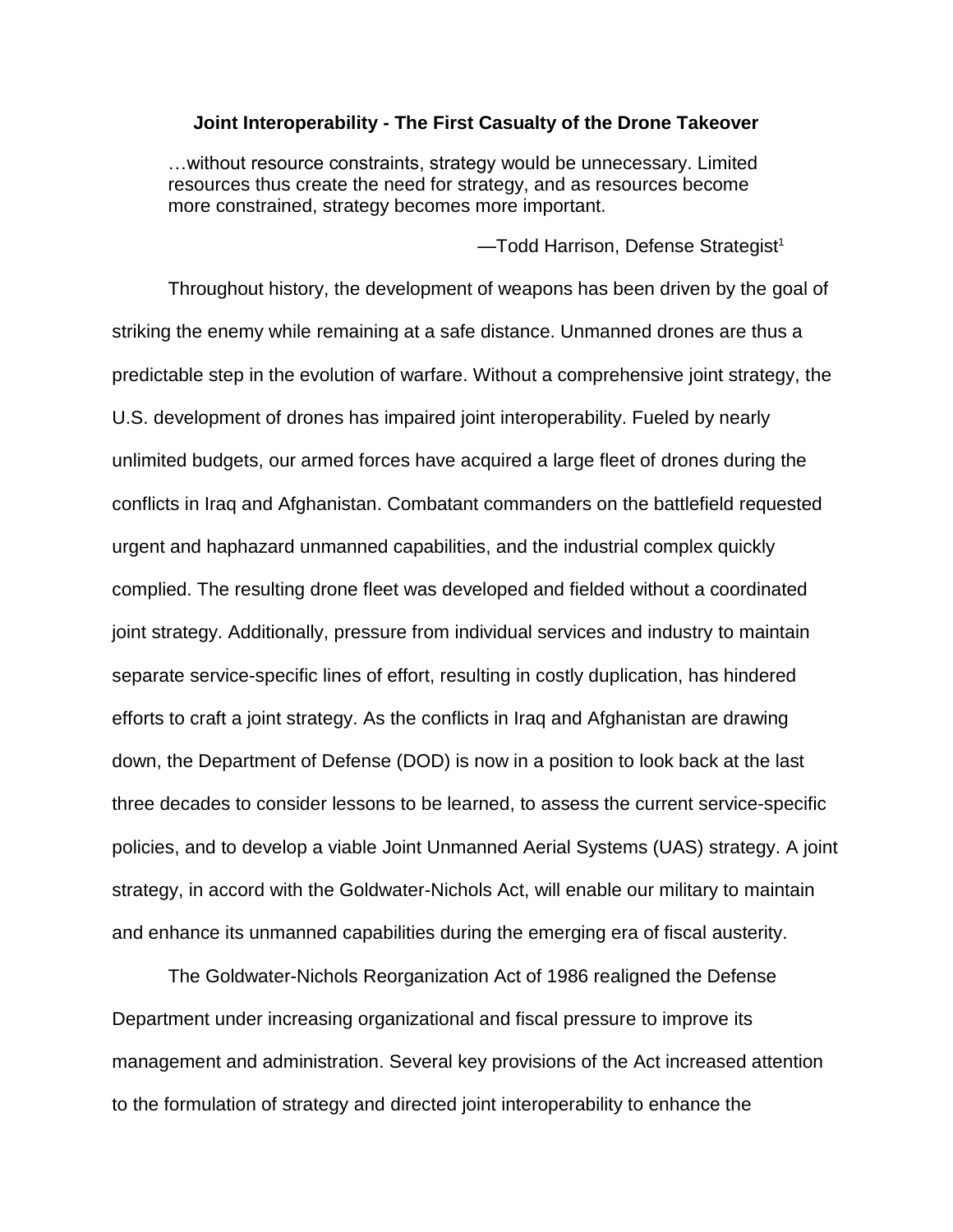### **Joint Interoperability - The First Casualty of the Drone Takeover**

…without resource constraints, strategy would be unnecessary. Limited resources thus create the need for strategy, and as resources become more constrained, strategy becomes more important.

-Todd Harrison, Defense Strategist<sup>1</sup>

Throughout history, the development of weapons has been driven by the goal of striking the enemy while remaining at a safe distance. Unmanned drones are thus a predictable step in the evolution of warfare. Without a comprehensive joint strategy, the U.S. development of drones has impaired joint interoperability. Fueled by nearly unlimited budgets, our armed forces have acquired a large fleet of drones during the conflicts in Iraq and Afghanistan. Combatant commanders on the battlefield requested urgent and haphazard unmanned capabilities, and the industrial complex quickly complied. The resulting drone fleet was developed and fielded without a coordinated joint strategy. Additionally, pressure from individual services and industry to maintain separate service-specific lines of effort, resulting in costly duplication, has hindered efforts to craft a joint strategy. As the conflicts in Iraq and Afghanistan are drawing down, the Department of Defense (DOD) is now in a position to look back at the last three decades to consider lessons to be learned, to assess the current service-specific policies, and to develop a viable Joint Unmanned Aerial Systems (UAS) strategy. A joint strategy, in accord with the Goldwater-Nichols Act, will enable our military to maintain and enhance its unmanned capabilities during the emerging era of fiscal austerity.

The Goldwater-Nichols Reorganization Act of 1986 realigned the Defense Department under increasing organizational and fiscal pressure to improve its management and administration. Several key provisions of the Act increased attention to the formulation of strategy and directed joint interoperability to enhance the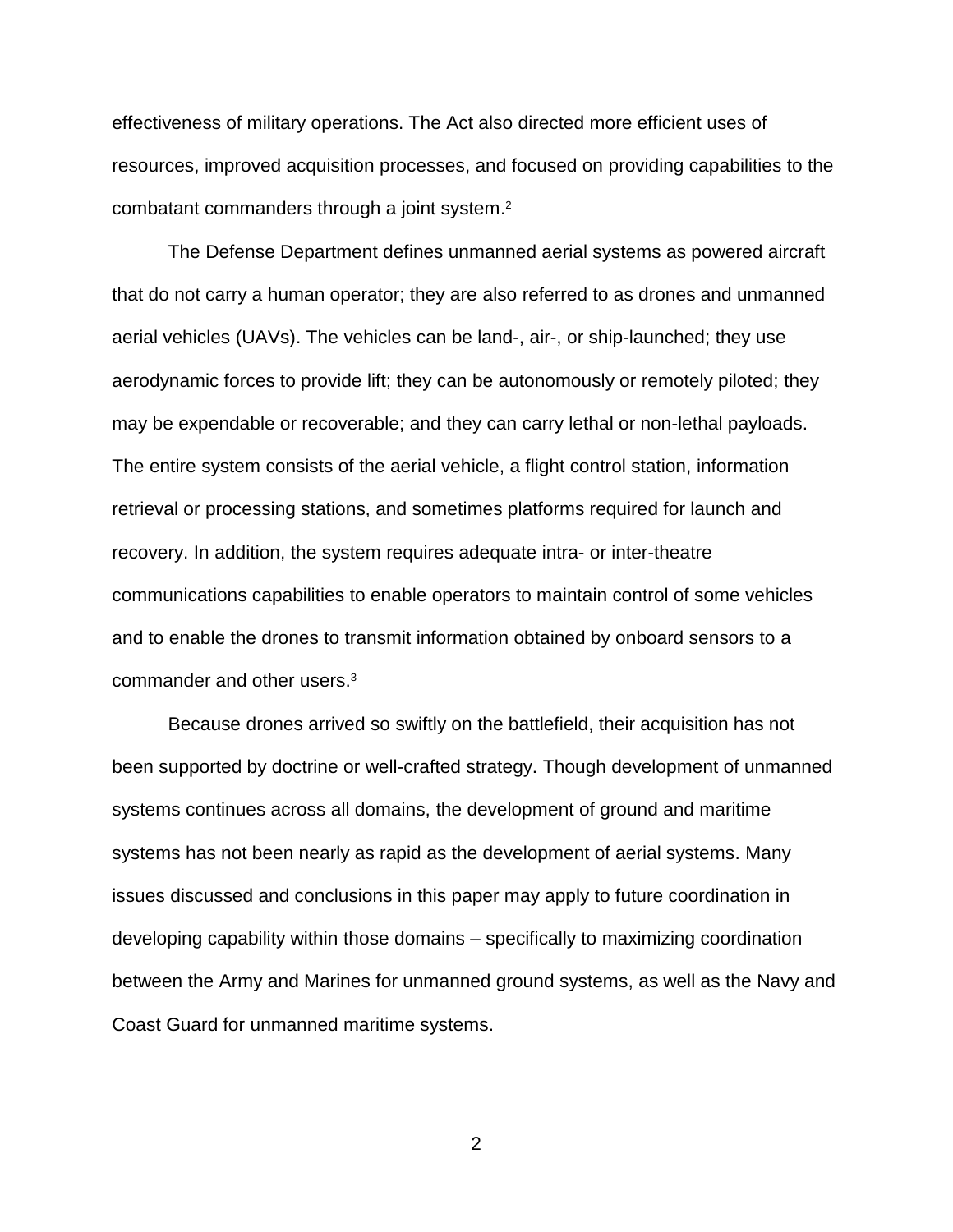effectiveness of military operations. The Act also directed more efficient uses of resources, improved acquisition processes, and focused on providing capabilities to the combatant commanders through a joint system. 2

The Defense Department defines unmanned aerial systems as powered aircraft that do not carry a human operator; they are also referred to as drones and unmanned aerial vehicles (UAVs). The vehicles can be land-, air-, or ship-launched; they use aerodynamic forces to provide lift; they can be autonomously or remotely piloted; they may be expendable or recoverable; and they can carry lethal or non-lethal payloads. The entire system consists of the aerial vehicle, a flight control station, information retrieval or processing stations, and sometimes platforms required for launch and recovery. In addition, the system requires adequate intra- or inter-theatre communications capabilities to enable operators to maintain control of some vehicles and to enable the drones to transmit information obtained by onboard sensors to a commander and other users.<sup>3</sup>

Because drones arrived so swiftly on the battlefield, their acquisition has not been supported by doctrine or well-crafted strategy. Though development of unmanned systems continues across all domains, the development of ground and maritime systems has not been nearly as rapid as the development of aerial systems. Many issues discussed and conclusions in this paper may apply to future coordination in developing capability within those domains – specifically to maximizing coordination between the Army and Marines for unmanned ground systems, as well as the Navy and Coast Guard for unmanned maritime systems.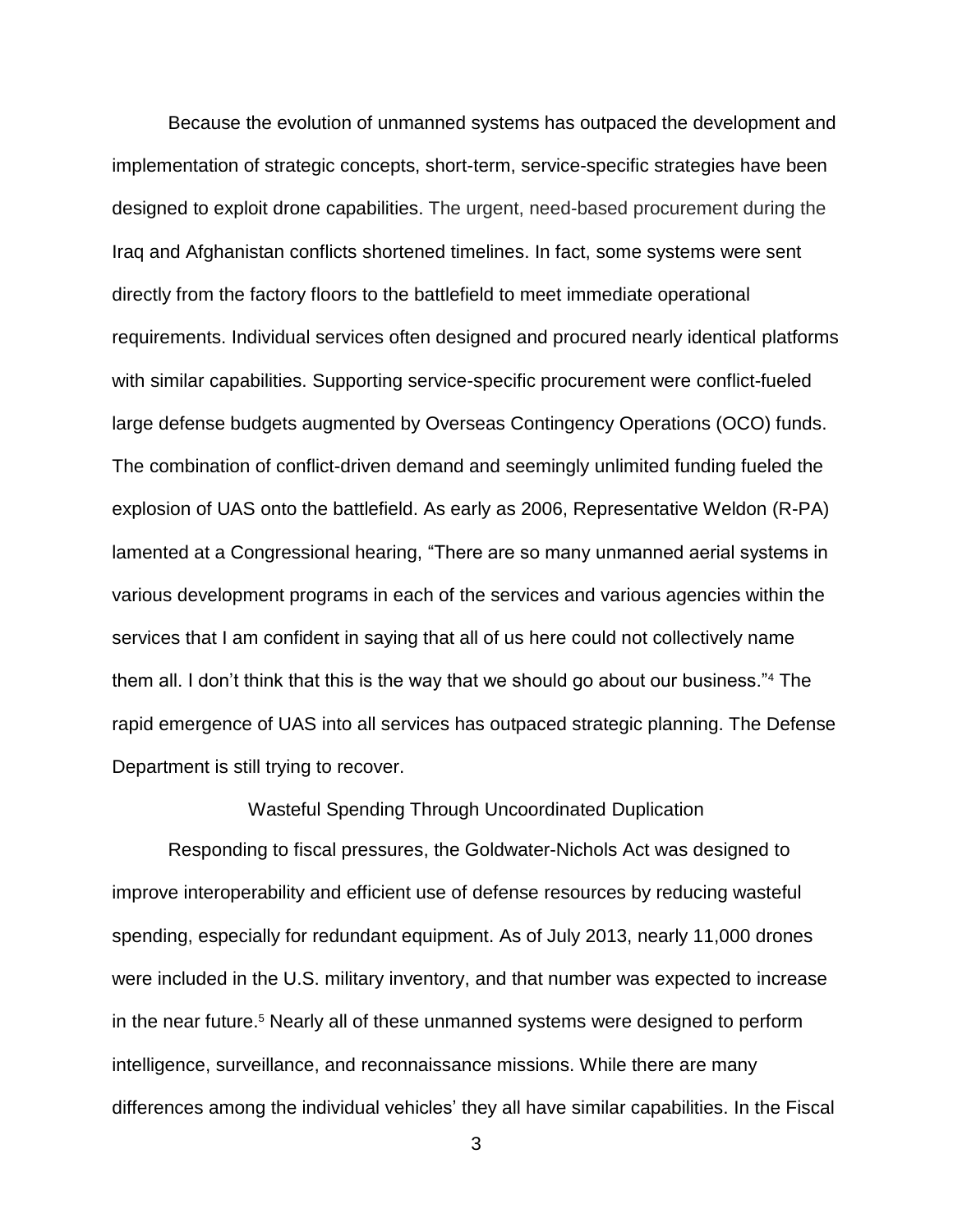Because the evolution of unmanned systems has outpaced the development and implementation of strategic concepts, short-term, service-specific strategies have been designed to exploit drone capabilities. The urgent, need-based procurement during the Iraq and Afghanistan conflicts shortened timelines. In fact, some systems were sent directly from the factory floors to the battlefield to meet immediate operational requirements. Individual services often designed and procured nearly identical platforms with similar capabilities. Supporting service-specific procurement were conflict-fueled large defense budgets augmented by Overseas Contingency Operations (OCO) funds. The combination of conflict-driven demand and seemingly unlimited funding fueled the explosion of UAS onto the battlefield. As early as 2006, Representative Weldon (R-PA) lamented at a Congressional hearing, "There are so many unmanned aerial systems in various development programs in each of the services and various agencies within the services that I am confident in saying that all of us here could not collectively name them all. I don't think that this is the way that we should go about our business."<sup>4</sup> The rapid emergence of UAS into all services has outpaced strategic planning. The Defense Department is still trying to recover.

### Wasteful Spending Through Uncoordinated Duplication

Responding to fiscal pressures, the Goldwater-Nichols Act was designed to improve interoperability and efficient use of defense resources by reducing wasteful spending, especially for redundant equipment. As of July 2013, nearly 11,000 drones were included in the U.S. military inventory, and that number was expected to increase in the near future.<sup>5</sup> Nearly all of these unmanned systems were designed to perform intelligence, surveillance, and reconnaissance missions. While there are many differences among the individual vehicles' they all have similar capabilities. In the Fiscal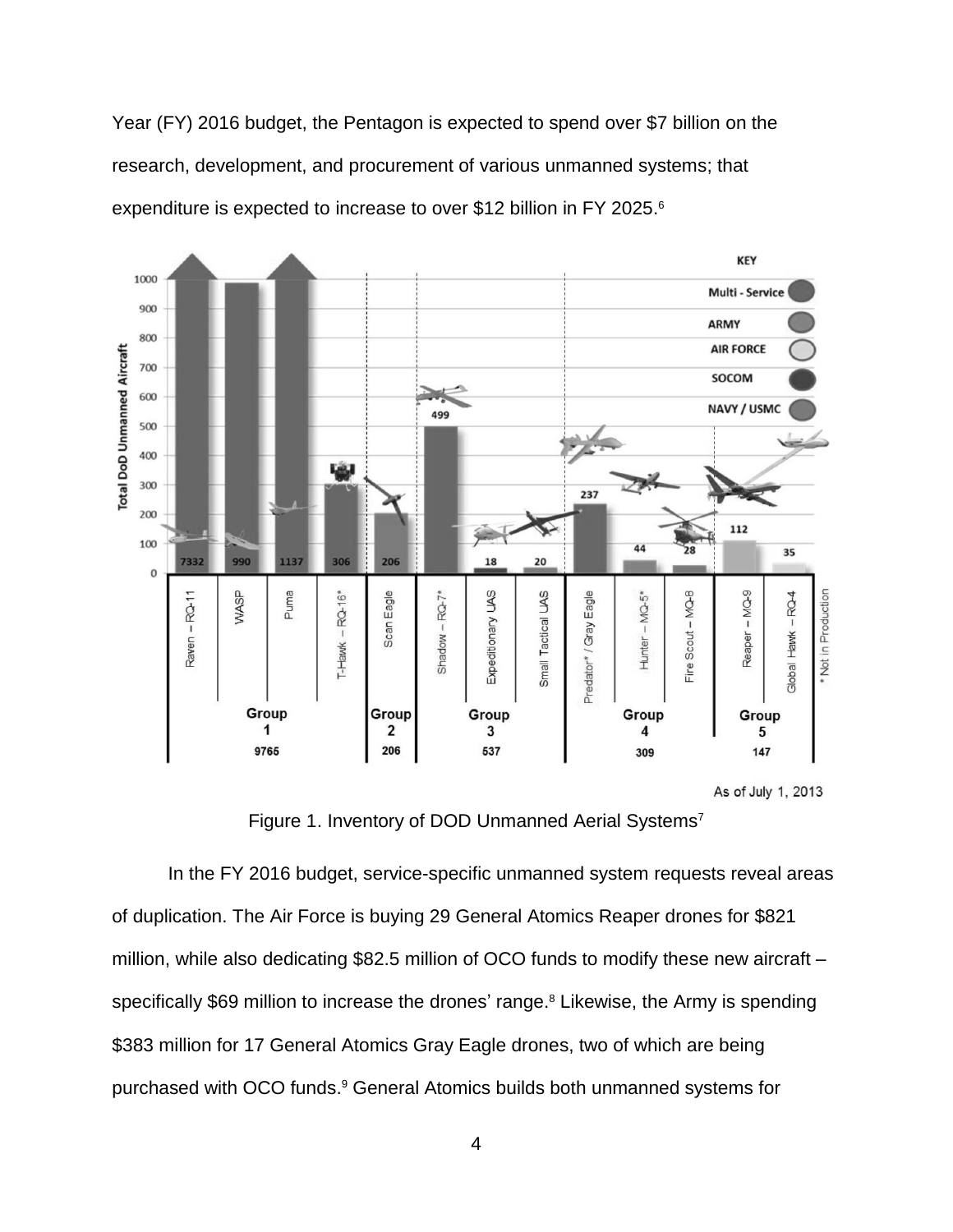Year (FY) 2016 budget, the Pentagon is expected to spend over \$7 billion on the research, development, and procurement of various unmanned systems; that expenditure is expected to increase to over \$12 billion in FY 2025. 6



Figure 1. Inventory of DOD Unmanned Aerial Systems<sup>7</sup>

In the FY 2016 budget, service-specific unmanned system requests reveal areas of duplication. The Air Force is buying 29 General Atomics Reaper drones for \$821 million, while also dedicating \$82.5 million of OCO funds to modify these new aircraft – specifically \$69 million to increase the drones' range.<sup>8</sup> Likewise, the Army is spending \$383 million for 17 General Atomics Gray Eagle drones, two of which are being purchased with OCO funds. <sup>9</sup> General Atomics builds both unmanned systems for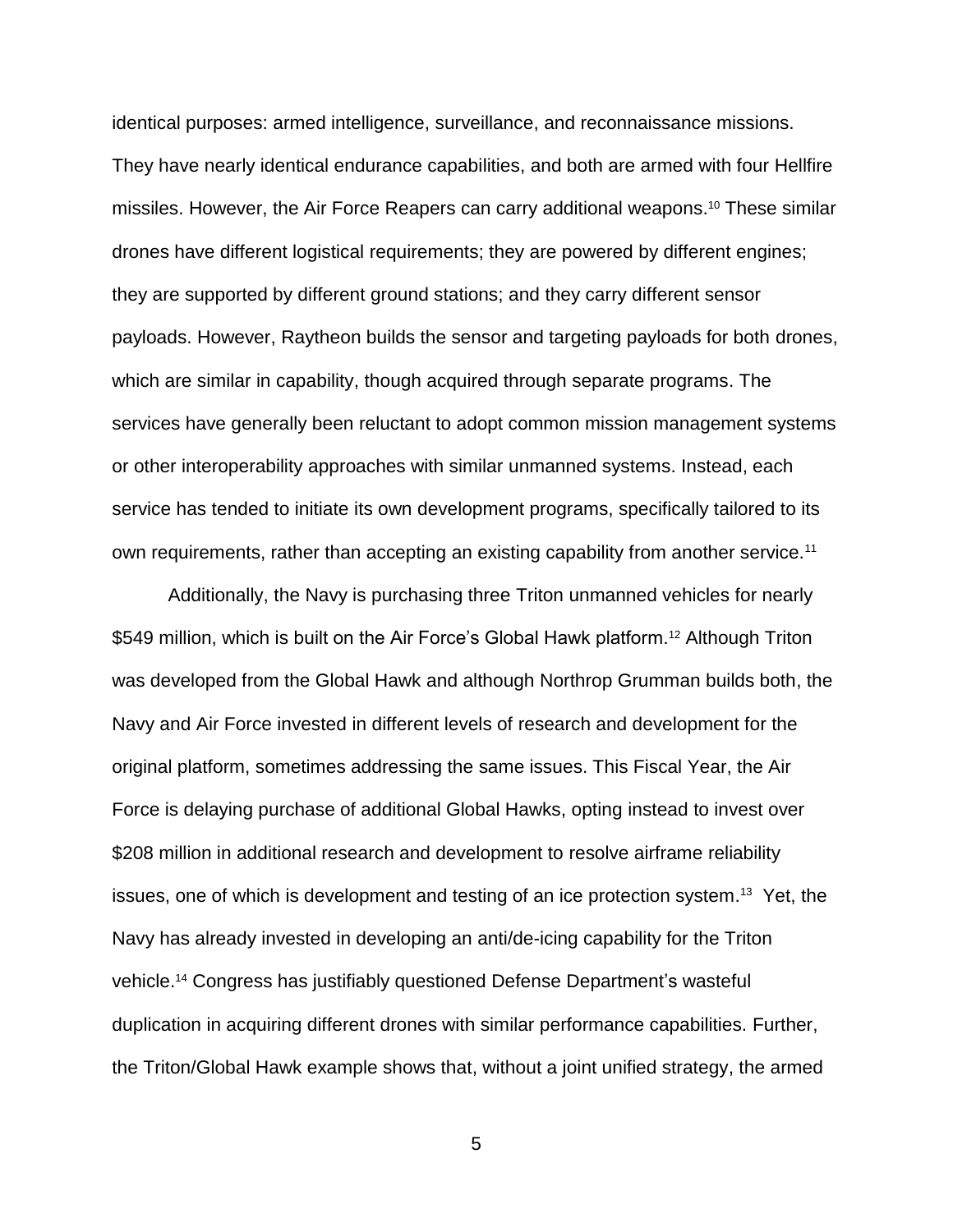identical purposes: armed intelligence, surveillance, and reconnaissance missions. They have nearly identical endurance capabilities, and both are armed with four Hellfire missiles. However, the Air Force Reapers can carry additional weapons. <sup>10</sup> These similar drones have different logistical requirements; they are powered by different engines; they are supported by different ground stations; and they carry different sensor payloads. However, Raytheon builds the sensor and targeting payloads for both drones, which are similar in capability, though acquired through separate programs. The services have generally been reluctant to adopt common mission management systems or other interoperability approaches with similar unmanned systems. Instead, each service has tended to initiate its own development programs, specifically tailored to its own requirements, rather than accepting an existing capability from another service.<sup>11</sup>

Additionally, the Navy is purchasing three Triton unmanned vehicles for nearly \$549 million, which is built on the Air Force's Global Hawk platform.<sup>12</sup> Although Triton was developed from the Global Hawk and although Northrop Grumman builds both, the Navy and Air Force invested in different levels of research and development for the original platform, sometimes addressing the same issues. This Fiscal Year, the Air Force is delaying purchase of additional Global Hawks, opting instead to invest over \$208 million in additional research and development to resolve airframe reliability issues, one of which is development and testing of an ice protection system.<sup>13</sup> Yet, the Navy has already invested in developing an anti/de-icing capability for the Triton vehicle. <sup>14</sup> Congress has justifiably questioned Defense Department's wasteful duplication in acquiring different drones with similar performance capabilities. Further, the Triton/Global Hawk example shows that, without a joint unified strategy, the armed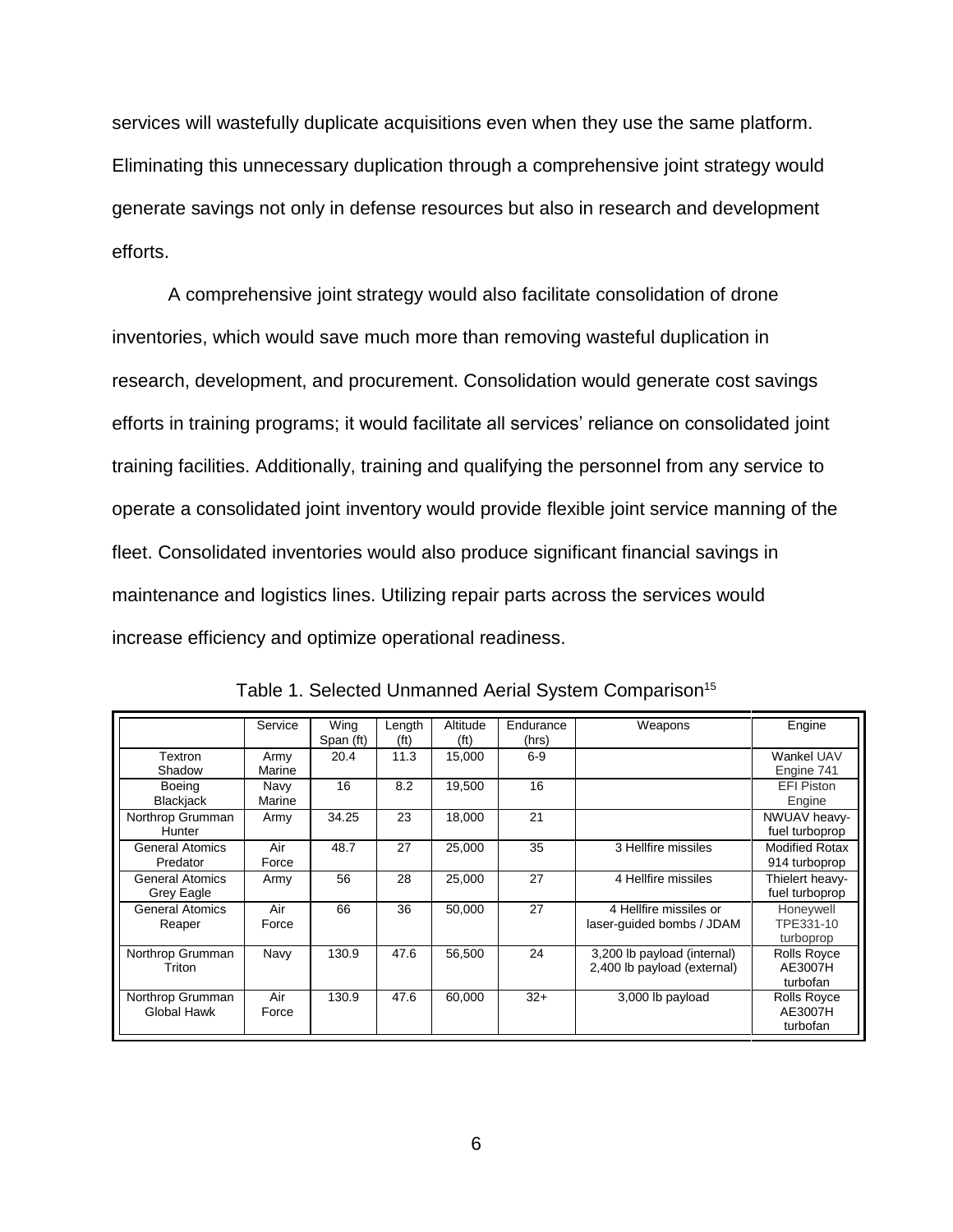services will wastefully duplicate acquisitions even when they use the same platform. Eliminating this unnecessary duplication through a comprehensive joint strategy would generate savings not only in defense resources but also in research and development efforts.

A comprehensive joint strategy would also facilitate consolidation of drone inventories, which would save much more than removing wasteful duplication in research, development, and procurement. Consolidation would generate cost savings efforts in training programs; it would facilitate all services' reliance on consolidated joint training facilities. Additionally, training and qualifying the personnel from any service to operate a consolidated joint inventory would provide flexible joint service manning of the fleet. Consolidated inventories would also produce significant financial savings in maintenance and logistics lines. Utilizing repair parts across the services would increase efficiency and optimize operational readiness.

|                                      | Service        | Wing<br>Span (ft) | Length<br>(f <sup>t</sup> ) | Altitude<br>(f <sup>t</sup> ) | Endurance<br>(hrs) | Weapons                                                    | Engine                                    |
|--------------------------------------|----------------|-------------------|-----------------------------|-------------------------------|--------------------|------------------------------------------------------------|-------------------------------------------|
| Textron<br>Shadow                    | Army<br>Marine | 20.4              | 11.3                        | 15,000                        | $6-9$              |                                                            | Wankel UAV<br>Engine 741                  |
| <b>Boeing</b><br><b>Blackjack</b>    | Navy<br>Marine | 16                | 8.2                         | 19,500                        | 16                 |                                                            | <b>EFI Piston</b><br>Engine               |
| Northrop Grumman<br>Hunter           | Army           | 34.25             | 23                          | 18,000                        | 21                 |                                                            | NWUAV heavy-<br>fuel turboprop            |
| <b>General Atomics</b><br>Predator   | Air<br>Force   | 48.7              | 27                          | 25,000                        | 35                 | 3 Hellfire missiles                                        | <b>Modified Rotax</b><br>914 turboprop    |
| <b>General Atomics</b><br>Grey Eagle | Army           | 56                | 28                          | 25,000                        | 27                 | 4 Hellfire missiles                                        | Thielert heavy-<br>fuel turboprop         |
| <b>General Atomics</b><br>Reaper     | Air<br>Force   | 66                | 36                          | 50.000                        | 27                 | 4 Hellfire missiles or<br>laser-guided bombs / JDAM        | Honeywell<br>TPE331-10<br>turboprop       |
| Northrop Grumman<br>Triton           | Navy           | 130.9             | 47.6                        | 56,500                        | 24                 | 3,200 lb payload (internal)<br>2,400 lb payload (external) | Rolls Royce<br>AE3007H<br>turbofan        |
| Northrop Grumman<br>Global Hawk      | Air<br>Force   | 130.9             | 47.6                        | 60.000                        | $32+$              | 3,000 lb payload                                           | <b>Rolls Royce</b><br>AE3007H<br>turbofan |

Table 1. Selected Unmanned Aerial System Comparison<sup>15</sup>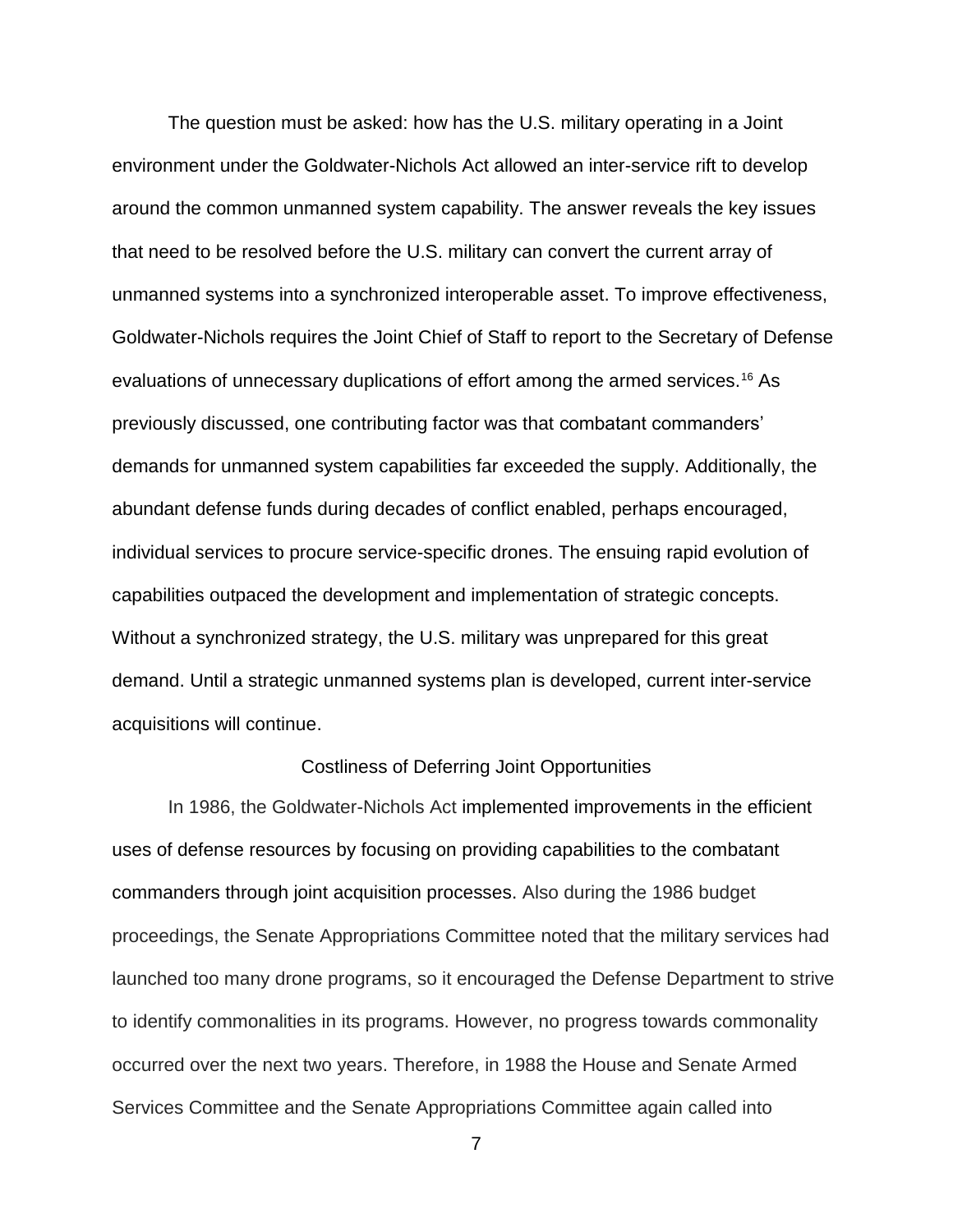The question must be asked: how has the U.S. military operating in a Joint environment under the Goldwater-Nichols Act allowed an inter-service rift to develop around the common unmanned system capability. The answer reveals the key issues that need to be resolved before the U.S. military can convert the current array of unmanned systems into a synchronized interoperable asset. To improve effectiveness, Goldwater-Nichols requires the Joint Chief of Staff to report to the Secretary of Defense evaluations of unnecessary duplications of effort among the armed services.<sup>16</sup> As previously discussed, one contributing factor was that combatant commanders' demands for unmanned system capabilities far exceeded the supply. Additionally, the abundant defense funds during decades of conflict enabled, perhaps encouraged, individual services to procure service-specific drones. The ensuing rapid evolution of capabilities outpaced the development and implementation of strategic concepts. Without a synchronized strategy, the U.S. military was unprepared for this great demand. Until a strategic unmanned systems plan is developed, current inter-service acquisitions will continue.

### Costliness of Deferring Joint Opportunities

In 1986, the Goldwater-Nichols Act implemented improvements in the efficient uses of defense resources by focusing on providing capabilities to the combatant commanders through joint acquisition processes. Also during the 1986 budget proceedings, the Senate Appropriations Committee noted that the military services had launched too many drone programs, so it encouraged the Defense Department to strive to identify commonalities in its programs. However, no progress towards commonality occurred over the next two years. Therefore, in 1988 the House and Senate Armed Services Committee and the Senate Appropriations Committee again called into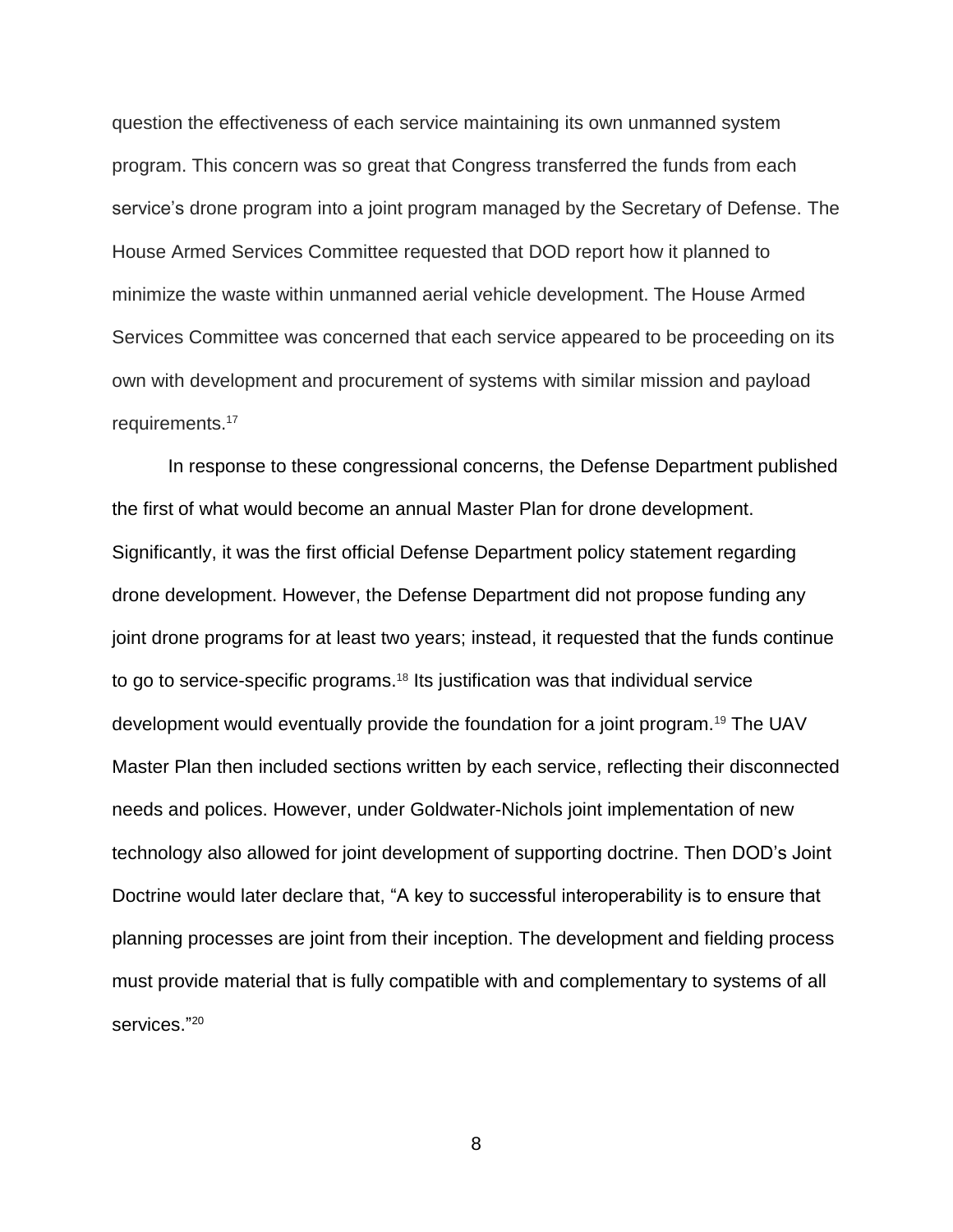question the effectiveness of each service maintaining its own unmanned system program. This concern was so great that Congress transferred the funds from each service's drone program into a joint program managed by the Secretary of Defense. The House Armed Services Committee requested that DOD report how it planned to minimize the waste within unmanned aerial vehicle development. The House Armed Services Committee was concerned that each service appeared to be proceeding on its own with development and procurement of systems with similar mission and payload requirements. 17

In response to these congressional concerns, the Defense Department published the first of what would become an annual Master Plan for drone development. Significantly, it was the first official Defense Department policy statement regarding drone development. However, the Defense Department did not propose funding any joint drone programs for at least two years; instead, it requested that the funds continue to go to service-specific programs.<sup>18</sup> Its justification was that individual service development would eventually provide the foundation for a joint program.<sup>19</sup> The UAV Master Plan then included sections written by each service, reflecting their disconnected needs and polices. However, under Goldwater-Nichols joint implementation of new technology also allowed for joint development of supporting doctrine. Then DOD's Joint Doctrine would later declare that, "A key to successful interoperability is to ensure that planning processes are joint from their inception. The development and fielding process must provide material that is fully compatible with and complementary to systems of all services." 20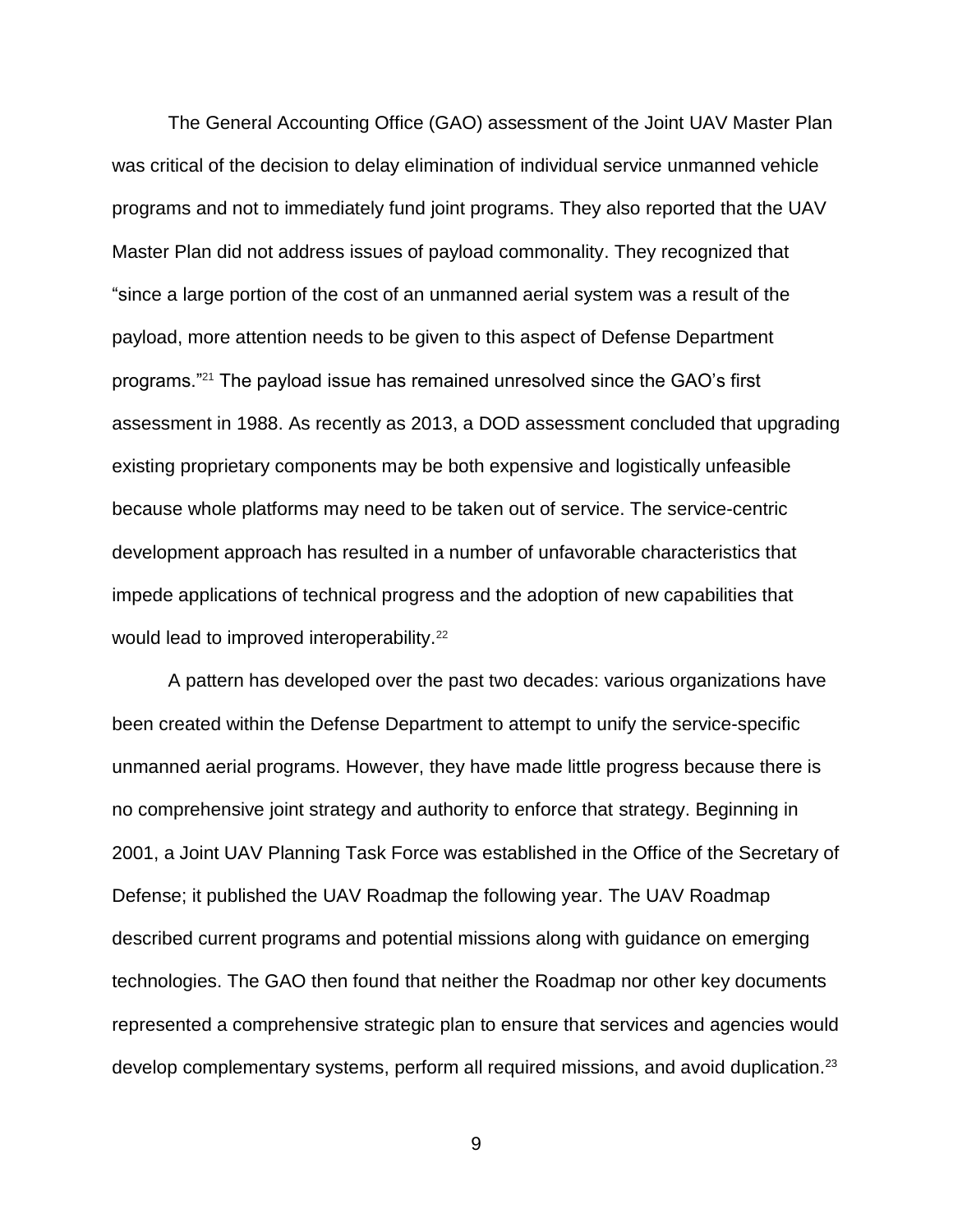The General Accounting Office (GAO) assessment of the Joint UAV Master Plan was critical of the decision to delay elimination of individual service unmanned vehicle programs and not to immediately fund joint programs. They also reported that the UAV Master Plan did not address issues of payload commonality. They recognized that "since a large portion of the cost of an unmanned aerial system was a result of the payload, more attention needs to be given to this aspect of Defense Department programs."<sup>21</sup> The payload issue has remained unresolved since the GAO's first assessment in 1988. As recently as 2013, a DOD assessment concluded that upgrading existing proprietary components may be both expensive and logistically unfeasible because whole platforms may need to be taken out of service. The service-centric development approach has resulted in a number of unfavorable characteristics that impede applications of technical progress and the adoption of new capabilities that would lead to improved interoperability.<sup>22</sup>

A pattern has developed over the past two decades: various organizations have been created within the Defense Department to attempt to unify the service-specific unmanned aerial programs. However, they have made little progress because there is no comprehensive joint strategy and authority to enforce that strategy. Beginning in 2001, a Joint UAV Planning Task Force was established in the Office of the Secretary of Defense; it published the UAV Roadmap the following year. The UAV Roadmap described current programs and potential missions along with guidance on emerging technologies. The GAO then found that neither the Roadmap nor other key documents represented a comprehensive strategic plan to ensure that services and agencies would develop complementary systems, perform all required missions, and avoid duplication.<sup>23</sup>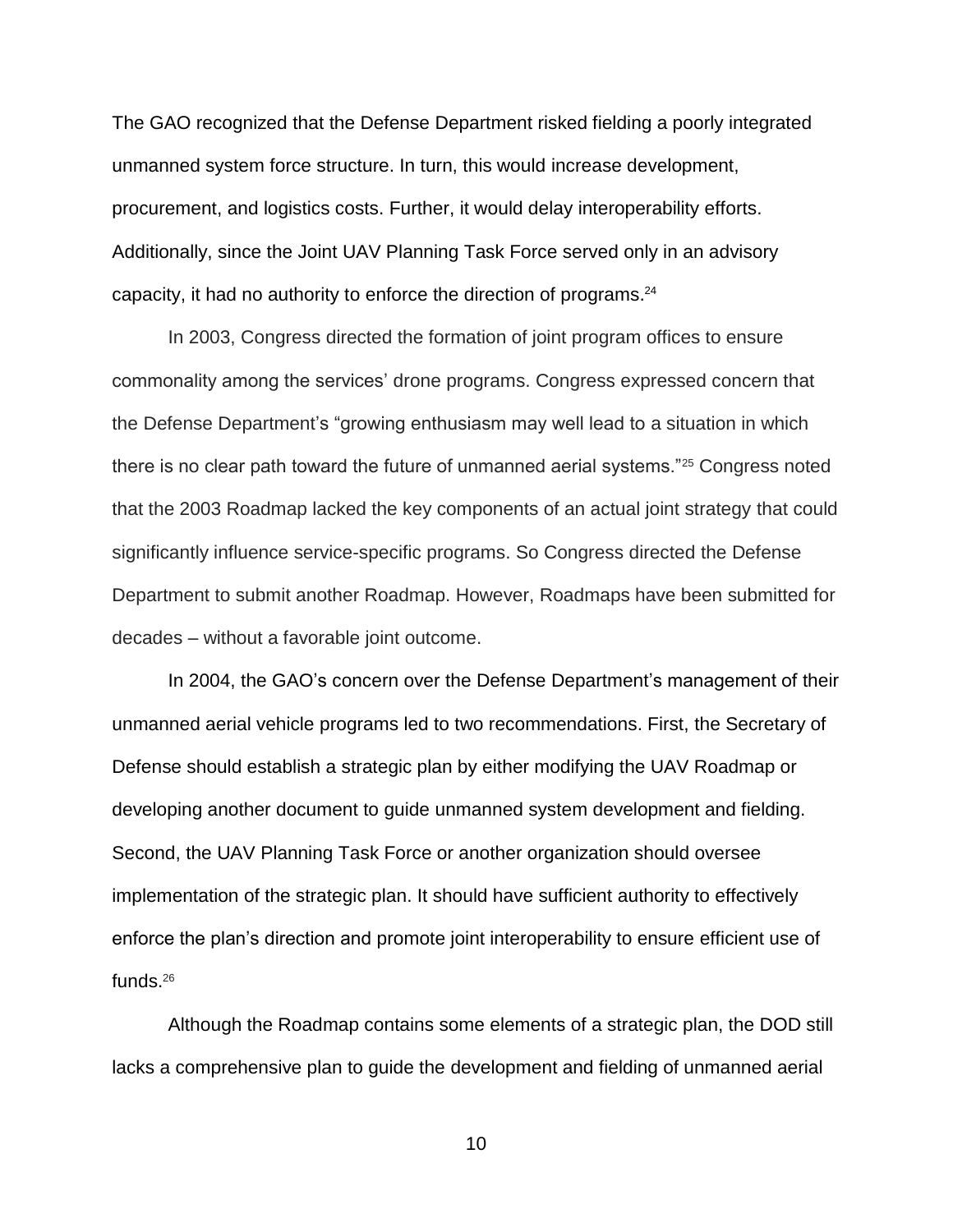The GAO recognized that the Defense Department risked fielding a poorly integrated unmanned system force structure. In turn, this would increase development, procurement, and logistics costs. Further, it would delay interoperability efforts. Additionally, since the Joint UAV Planning Task Force served only in an advisory capacity, it had no authority to enforce the direction of programs. 24

In 2003, Congress directed the formation of joint program offices to ensure commonality among the services' drone programs. Congress expressed concern that the Defense Department's "growing enthusiasm may well lead to a situation in which there is no clear path toward the future of unmanned aerial systems."<sup>25</sup> Congress noted that the 2003 Roadmap lacked the key components of an actual joint strategy that could significantly influence service-specific programs. So Congress directed the Defense Department to submit another Roadmap. However, Roadmaps have been submitted for decades – without a favorable joint outcome.

In 2004, the GAO's concern over the Defense Department's management of their unmanned aerial vehicle programs led to two recommendations. First, the Secretary of Defense should establish a strategic plan by either modifying the UAV Roadmap or developing another document to guide unmanned system development and fielding. Second, the UAV Planning Task Force or another organization should oversee implementation of the strategic plan. It should have sufficient authority to effectively enforce the plan's direction and promote joint interoperability to ensure efficient use of funds.<sup>26</sup>

Although the Roadmap contains some elements of a strategic plan, the DOD still lacks a comprehensive plan to guide the development and fielding of unmanned aerial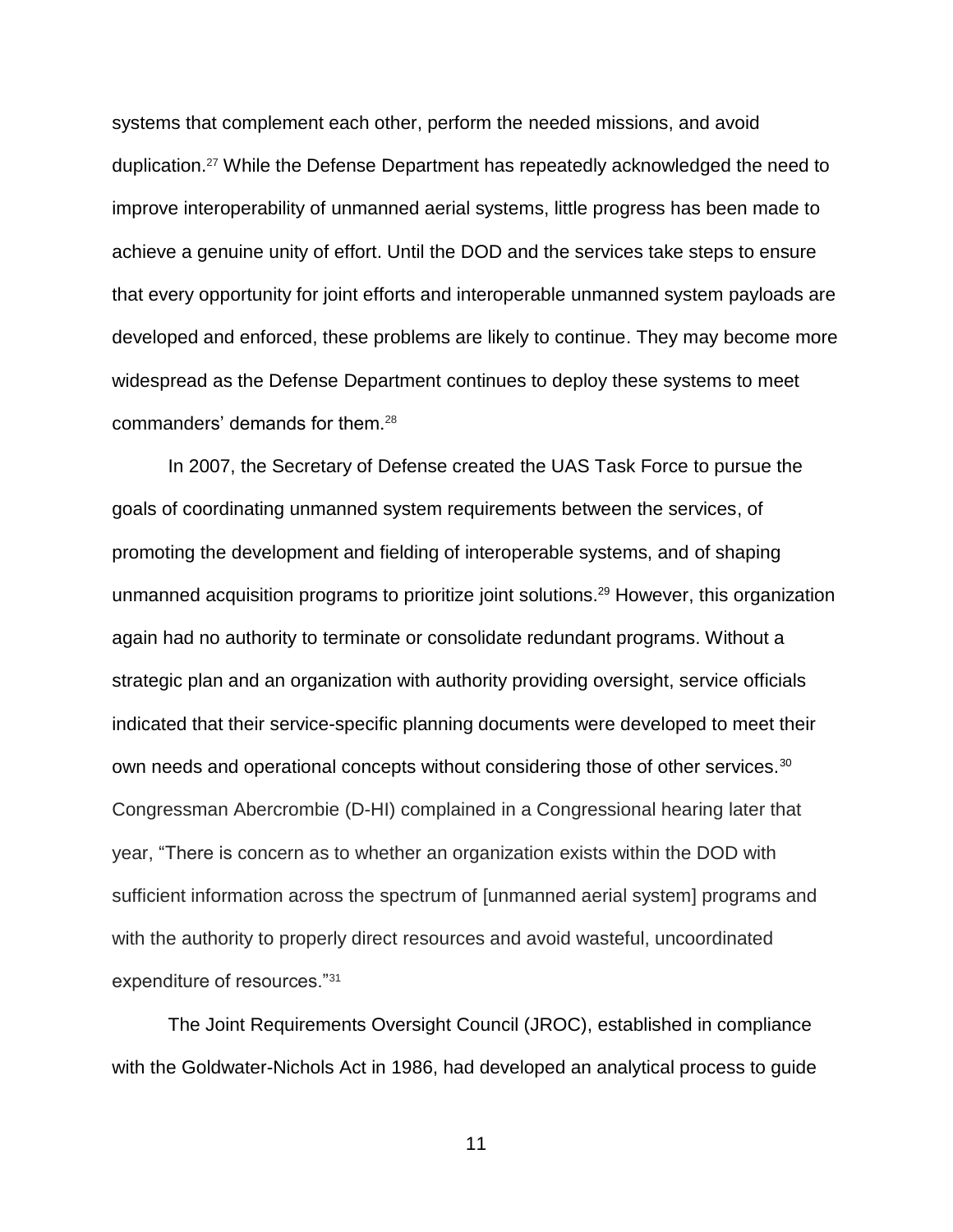systems that complement each other, perform the needed missions, and avoid duplication.<sup>27</sup> While the Defense Department has repeatedly acknowledged the need to improve interoperability of unmanned aerial systems, little progress has been made to achieve a genuine unity of effort. Until the DOD and the services take steps to ensure that every opportunity for joint efforts and interoperable unmanned system payloads are developed and enforced, these problems are likely to continue. They may become more widespread as the Defense Department continues to deploy these systems to meet commanders' demands for them.<sup>28</sup>

In 2007, the Secretary of Defense created the UAS Task Force to pursue the goals of coordinating unmanned system requirements between the services, of promoting the development and fielding of interoperable systems, and of shaping unmanned acquisition programs to prioritize joint solutions.<sup>29</sup> However, this organization again had no authority to terminate or consolidate redundant programs. Without a strategic plan and an organization with authority providing oversight, service officials indicated that their service-specific planning documents were developed to meet their own needs and operational concepts without considering those of other services.<sup>30</sup> Congressman Abercrombie (D-HI) complained in a Congressional hearing later that year, "There is concern as to whether an organization exists within the DOD with sufficient information across the spectrum of [unmanned aerial system] programs and with the authority to properly direct resources and avoid wasteful, uncoordinated expenditure of resources."<sup>31</sup>

The Joint Requirements Oversight Council (JROC), established in compliance with the Goldwater-Nichols Act in 1986, had developed an analytical process to guide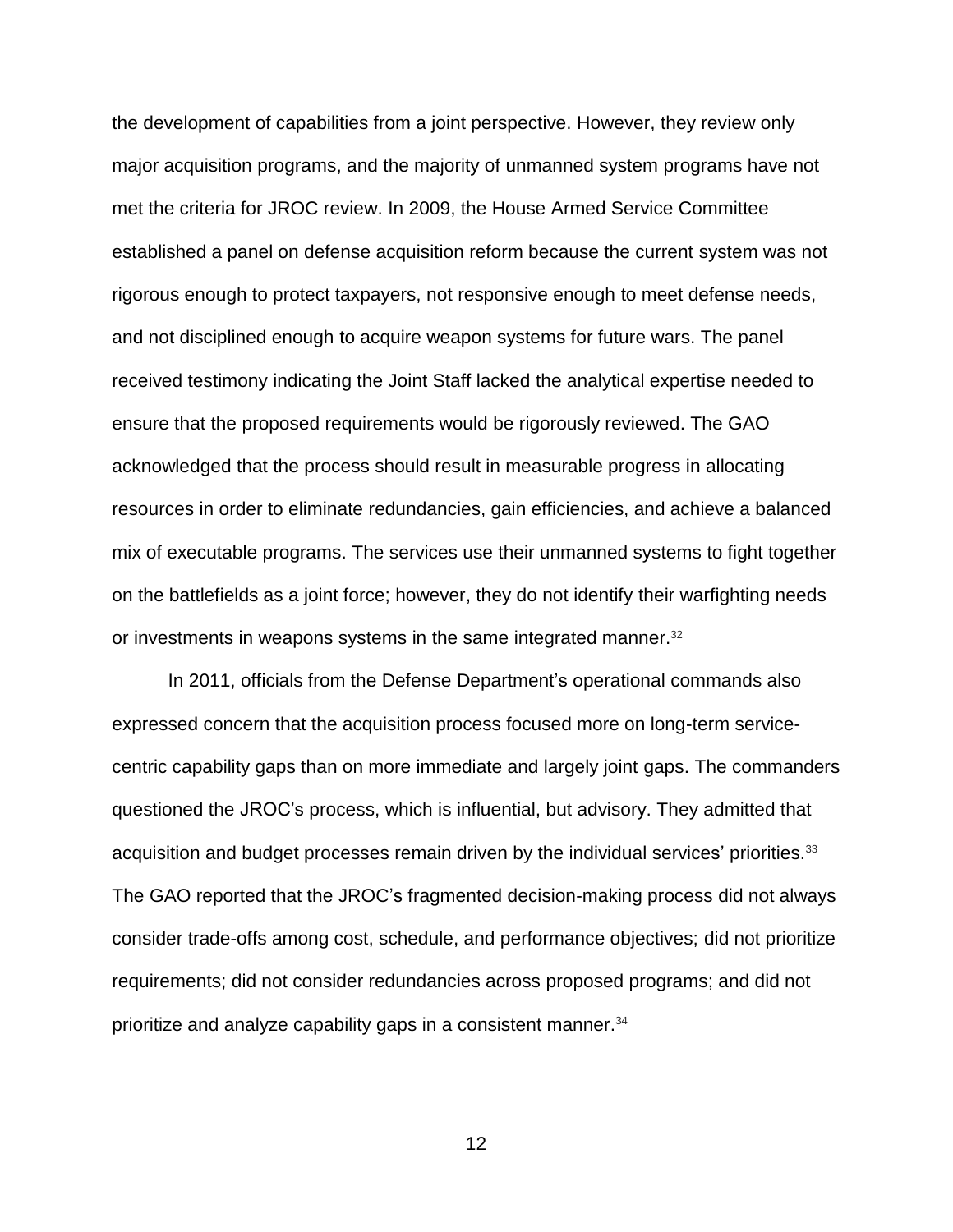the development of capabilities from a joint perspective. However, they review only major acquisition programs, and the majority of unmanned system programs have not met the criteria for JROC review. In 2009, the House Armed Service Committee established a panel on defense acquisition reform because the current system was not rigorous enough to protect taxpayers, not responsive enough to meet defense needs, and not disciplined enough to acquire weapon systems for future wars. The panel received testimony indicating the Joint Staff lacked the analytical expertise needed to ensure that the proposed requirements would be rigorously reviewed. The GAO acknowledged that the process should result in measurable progress in allocating resources in order to eliminate redundancies, gain efficiencies, and achieve a balanced mix of executable programs. The services use their unmanned systems to fight together on the battlefields as a joint force; however, they do not identify their warfighting needs or investments in weapons systems in the same integrated manner.<sup>32</sup>

In 2011, officials from the Defense Department's operational commands also expressed concern that the acquisition process focused more on long-term servicecentric capability gaps than on more immediate and largely joint gaps. The commanders questioned the JROC's process, which is influential, but advisory. They admitted that acquisition and budget processes remain driven by the individual services' priorities.<sup>33</sup> The GAO reported that the JROC's fragmented decision-making process did not always consider trade-offs among cost, schedule, and performance objectives; did not prioritize requirements; did not consider redundancies across proposed programs; and did not prioritize and analyze capability gaps in a consistent manner.<sup>34</sup>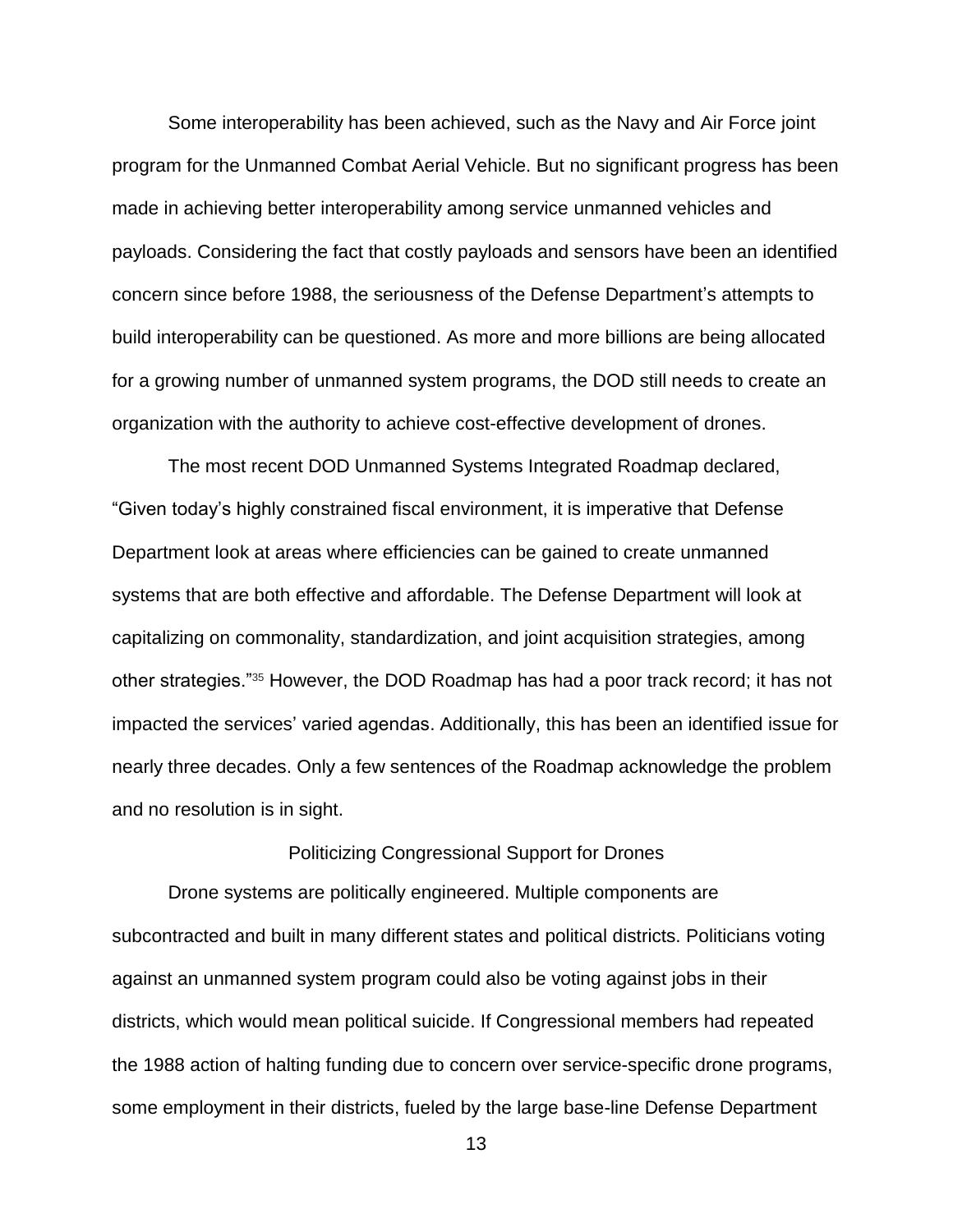Some interoperability has been achieved, such as the Navy and Air Force joint program for the Unmanned Combat Aerial Vehicle. But no significant progress has been made in achieving better interoperability among service unmanned vehicles and payloads. Considering the fact that costly payloads and sensors have been an identified concern since before 1988, the seriousness of the Defense Department's attempts to build interoperability can be questioned. As more and more billions are being allocated for a growing number of unmanned system programs, the DOD still needs to create an organization with the authority to achieve cost-effective development of drones.

The most recent DOD Unmanned Systems Integrated Roadmap declared, "Given today's highly constrained fiscal environment, it is imperative that Defense Department look at areas where efficiencies can be gained to create unmanned systems that are both effective and affordable. The Defense Department will look at capitalizing on commonality, standardization, and joint acquisition strategies, among other strategies."<sup>35</sup> However, the DOD Roadmap has had a poor track record; it has not impacted the services' varied agendas. Additionally, this has been an identified issue for nearly three decades. Only a few sentences of the Roadmap acknowledge the problem and no resolution is in sight.

### Politicizing Congressional Support for Drones

Drone systems are politically engineered. Multiple components are subcontracted and built in many different states and political districts. Politicians voting against an unmanned system program could also be voting against jobs in their districts, which would mean political suicide. If Congressional members had repeated the 1988 action of halting funding due to concern over service-specific drone programs, some employment in their districts, fueled by the large base-line Defense Department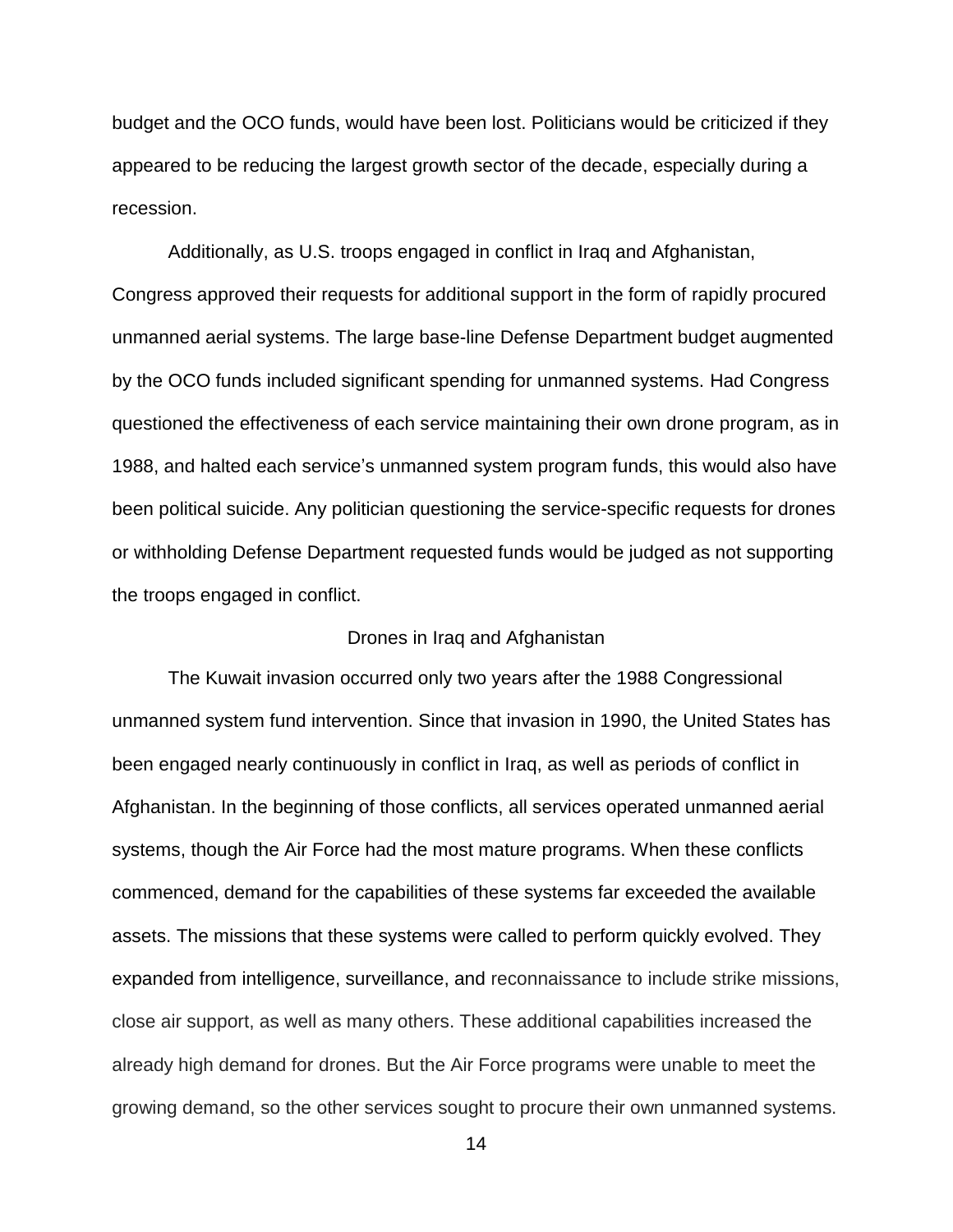budget and the OCO funds, would have been lost. Politicians would be criticized if they appeared to be reducing the largest growth sector of the decade, especially during a recession.

Additionally, as U.S. troops engaged in conflict in Iraq and Afghanistan, Congress approved their requests for additional support in the form of rapidly procured unmanned aerial systems. The large base-line Defense Department budget augmented by the OCO funds included significant spending for unmanned systems. Had Congress questioned the effectiveness of each service maintaining their own drone program, as in 1988, and halted each service's unmanned system program funds, this would also have been political suicide. Any politician questioning the service-specific requests for drones or withholding Defense Department requested funds would be judged as not supporting the troops engaged in conflict.

### Drones in Iraq and Afghanistan

The Kuwait invasion occurred only two years after the 1988 Congressional unmanned system fund intervention. Since that invasion in 1990, the United States has been engaged nearly continuously in conflict in Iraq, as well as periods of conflict in Afghanistan. In the beginning of those conflicts, all services operated unmanned aerial systems, though the Air Force had the most mature programs. When these conflicts commenced, demand for the capabilities of these systems far exceeded the available assets. The missions that these systems were called to perform quickly evolved. They expanded from intelligence, surveillance, and reconnaissance to include strike missions, close air support, as well as many others. These additional capabilities increased the already high demand for drones. But the Air Force programs were unable to meet the growing demand, so the other services sought to procure their own unmanned systems.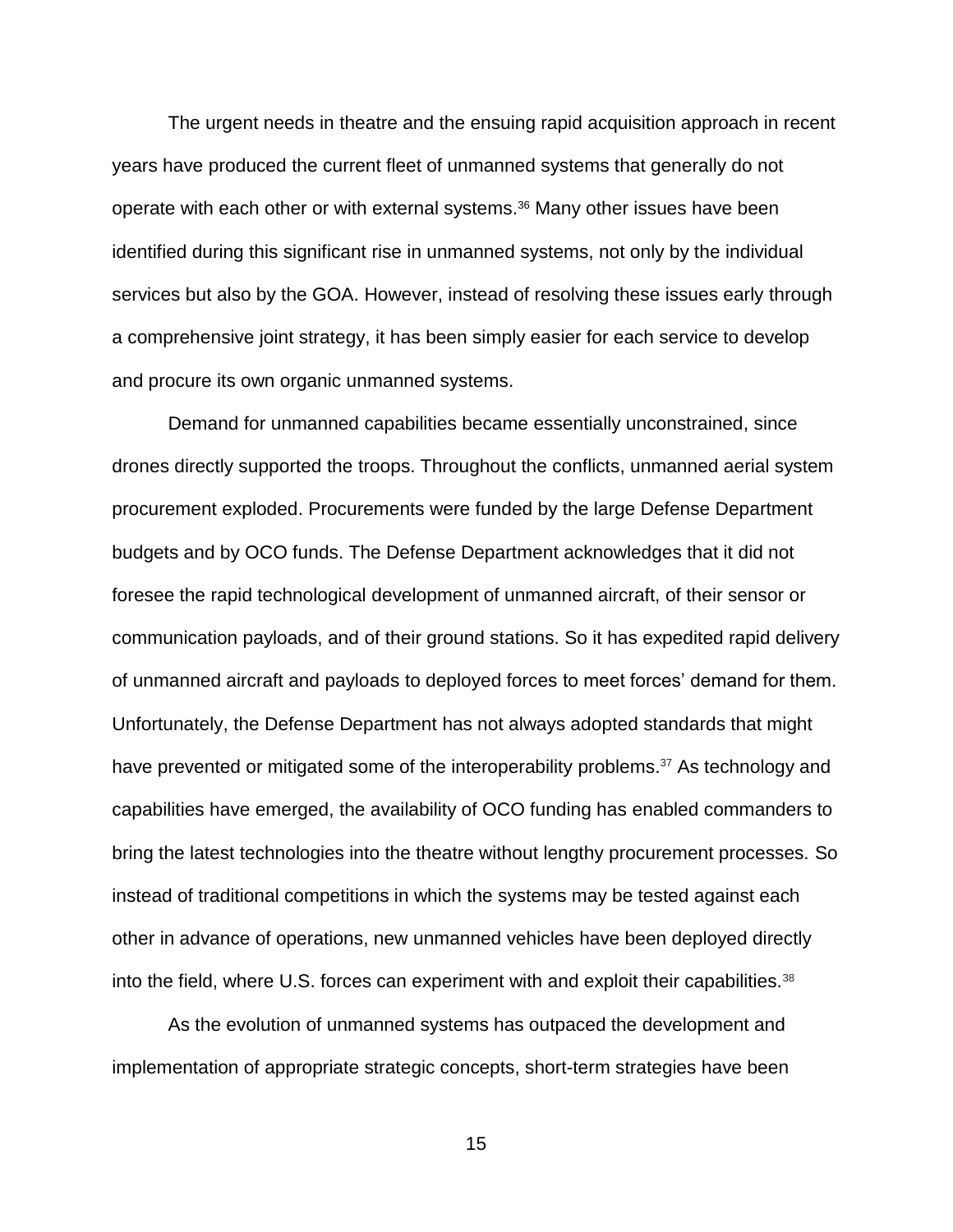The urgent needs in theatre and the ensuing rapid acquisition approach in recent years have produced the current fleet of unmanned systems that generally do not operate with each other or with external systems.<sup>36</sup> Many other issues have been identified during this significant rise in unmanned systems, not only by the individual services but also by the GOA. However, instead of resolving these issues early through a comprehensive joint strategy, it has been simply easier for each service to develop and procure its own organic unmanned systems.

Demand for unmanned capabilities became essentially unconstrained, since drones directly supported the troops. Throughout the conflicts, unmanned aerial system procurement exploded. Procurements were funded by the large Defense Department budgets and by OCO funds. The Defense Department acknowledges that it did not foresee the rapid technological development of unmanned aircraft, of their sensor or communication payloads, and of their ground stations. So it has expedited rapid delivery of unmanned aircraft and payloads to deployed forces to meet forces' demand for them. Unfortunately, the Defense Department has not always adopted standards that might have prevented or mitigated some of the interoperability problems.<sup>37</sup> As technology and capabilities have emerged, the availability of OCO funding has enabled commanders to bring the latest technologies into the theatre without lengthy procurement processes. So instead of traditional competitions in which the systems may be tested against each other in advance of operations, new unmanned vehicles have been deployed directly into the field, where U.S. forces can experiment with and exploit their capabilities.<sup>38</sup>

As the evolution of unmanned systems has outpaced the development and implementation of appropriate strategic concepts, short-term strategies have been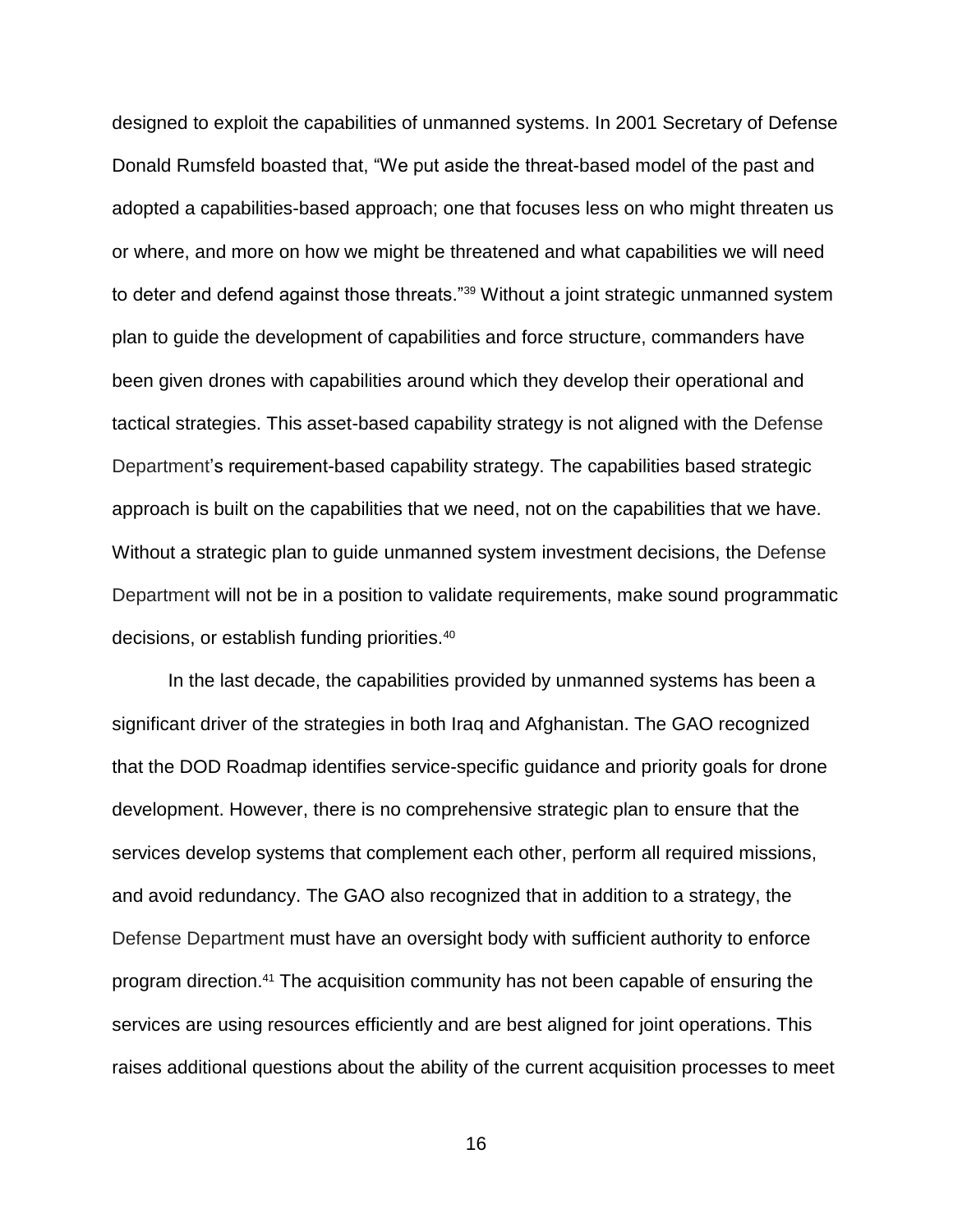designed to exploit the capabilities of unmanned systems. In 2001 Secretary of Defense Donald Rumsfeld boasted that, "We put aside the threat-based model of the past and adopted a capabilities-based approach; one that focuses less on who might threaten us or where, and more on how we might be threatened and what capabilities we will need to deter and defend against those threats."<sup>39</sup> Without a joint strategic unmanned system plan to guide the development of capabilities and force structure, commanders have been given drones with capabilities around which they develop their operational and tactical strategies. This asset-based capability strategy is not aligned with the Defense Department's requirement-based capability strategy. The capabilities based strategic approach is built on the capabilities that we need, not on the capabilities that we have. Without a strategic plan to guide unmanned system investment decisions, the Defense Department will not be in a position to validate requirements, make sound programmatic decisions, or establish funding priorities.<sup>40</sup>

In the last decade, the capabilities provided by unmanned systems has been a significant driver of the strategies in both Iraq and Afghanistan. The GAO recognized that the DOD Roadmap identifies service-specific guidance and priority goals for drone development. However, there is no comprehensive strategic plan to ensure that the services develop systems that complement each other, perform all required missions, and avoid redundancy. The GAO also recognized that in addition to a strategy, the Defense Department must have an oversight body with sufficient authority to enforce program direction.<sup>41</sup> The acquisition community has not been capable of ensuring the services are using resources efficiently and are best aligned for joint operations. This raises additional questions about the ability of the current acquisition processes to meet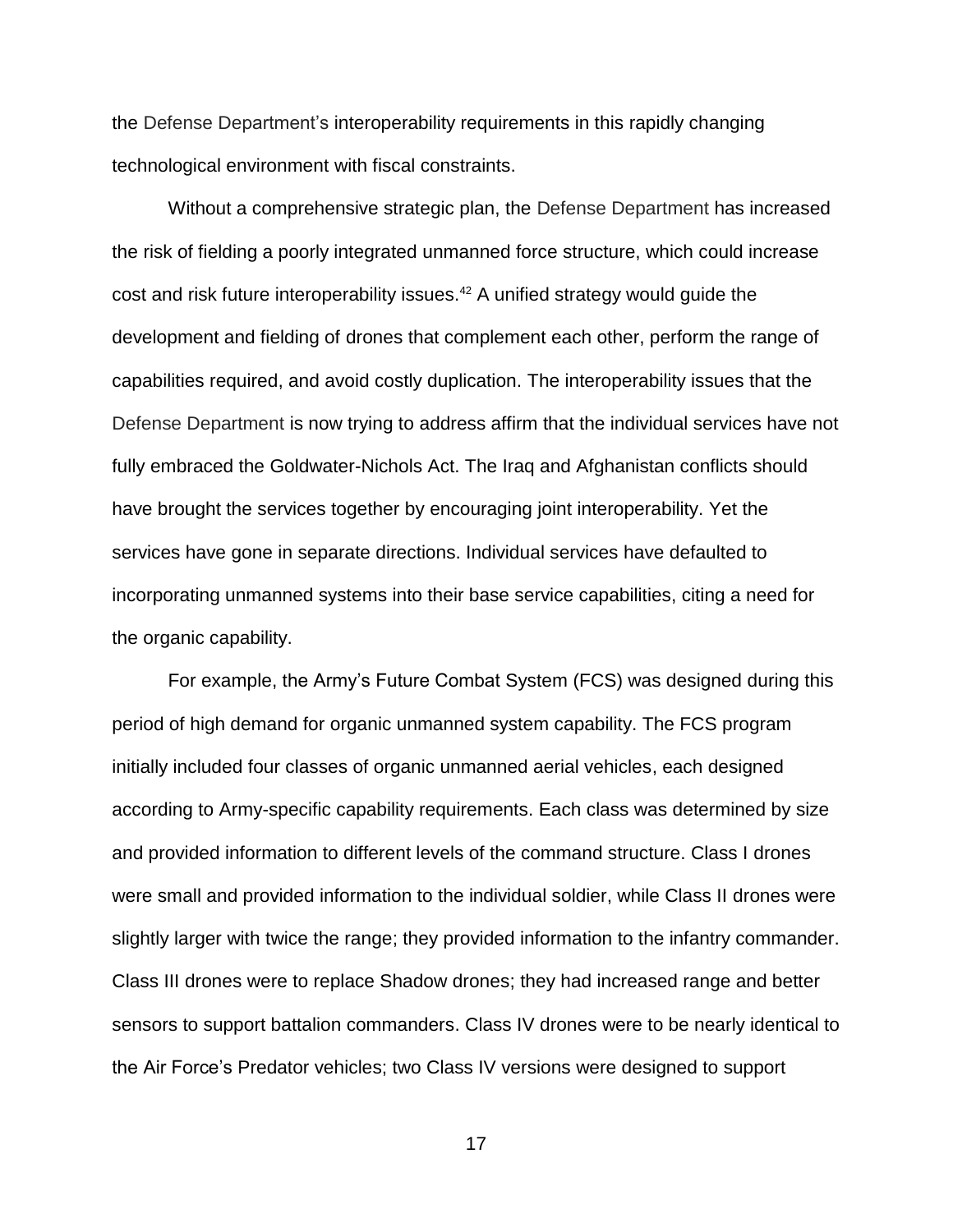the Defense Department's interoperability requirements in this rapidly changing technological environment with fiscal constraints.

Without a comprehensive strategic plan, the Defense Department has increased the risk of fielding a poorly integrated unmanned force structure, which could increase cost and risk future interoperability issues.<sup>42</sup> A unified strategy would guide the development and fielding of drones that complement each other, perform the range of capabilities required, and avoid costly duplication. The interoperability issues that the Defense Department is now trying to address affirm that the individual services have not fully embraced the Goldwater-Nichols Act. The Iraq and Afghanistan conflicts should have brought the services together by encouraging joint interoperability. Yet the services have gone in separate directions. Individual services have defaulted to incorporating unmanned systems into their base service capabilities, citing a need for the organic capability.

For example, the Army's Future Combat System (FCS) was designed during this period of high demand for organic unmanned system capability. The FCS program initially included four classes of organic unmanned aerial vehicles, each designed according to Army-specific capability requirements. Each class was determined by size and provided information to different levels of the command structure. Class I drones were small and provided information to the individual soldier, while Class II drones were slightly larger with twice the range; they provided information to the infantry commander. Class III drones were to replace Shadow drones; they had increased range and better sensors to support battalion commanders. Class IV drones were to be nearly identical to the Air Force's Predator vehicles; two Class IV versions were designed to support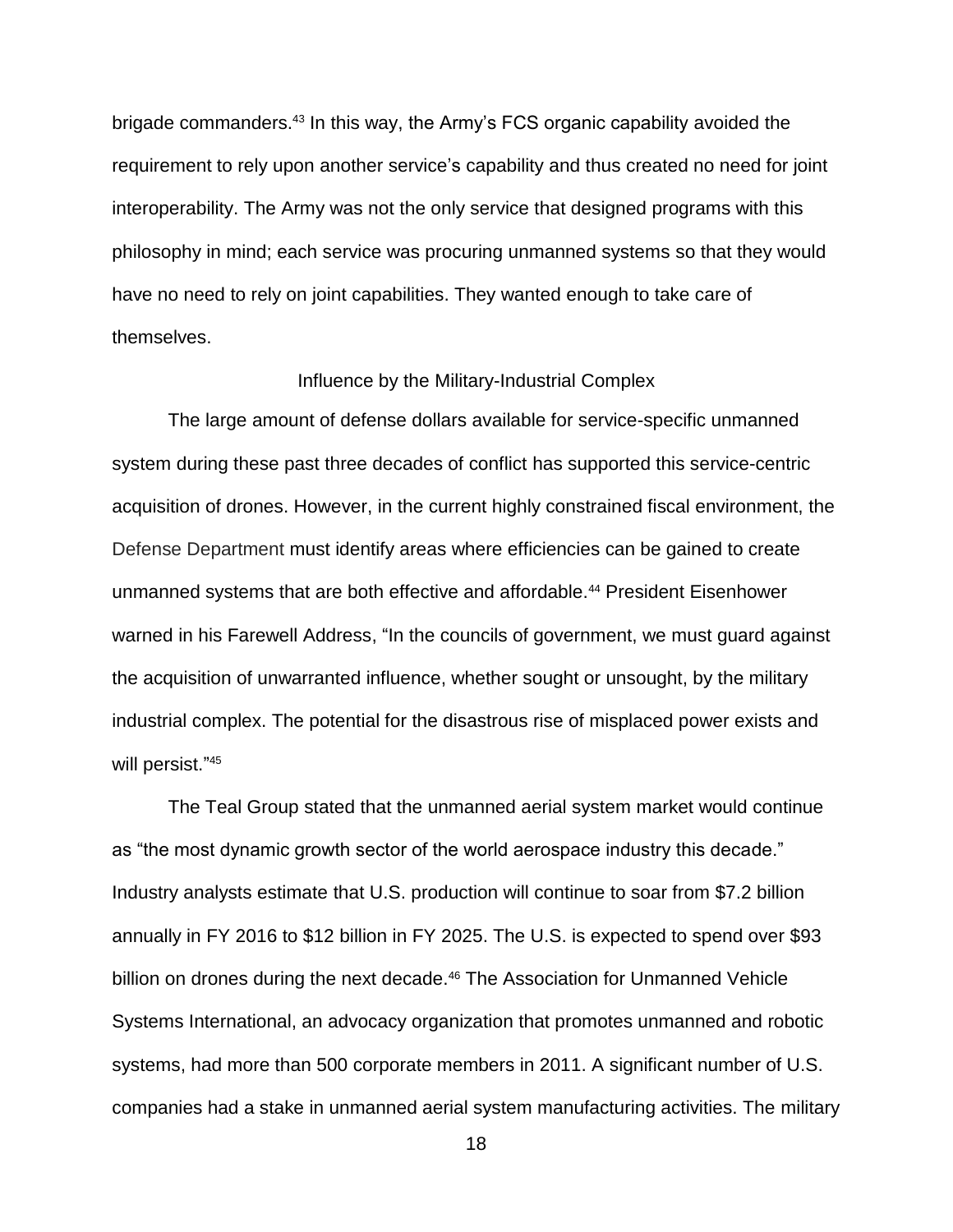brigade commanders.<sup>43</sup> In this way, the Army's FCS organic capability avoided the requirement to rely upon another service's capability and thus created no need for joint interoperability. The Army was not the only service that designed programs with this philosophy in mind; each service was procuring unmanned systems so that they would have no need to rely on joint capabilities. They wanted enough to take care of themselves.

### Influence by the Military-Industrial Complex

The large amount of defense dollars available for service-specific unmanned system during these past three decades of conflict has supported this service-centric acquisition of drones. However, in the current highly constrained fiscal environment, the Defense Department must identify areas where efficiencies can be gained to create unmanned systems that are both effective and affordable.<sup>44</sup> President Eisenhower warned in his Farewell Address, "In the councils of government, we must guard against the acquisition of unwarranted influence, whether sought or unsought, by the military industrial complex. The potential for the disastrous rise of misplaced power exists and will persist."<sup>45</sup>

The Teal Group stated that the unmanned aerial system market would continue as "the most dynamic growth sector of the world aerospace industry this decade." Industry analysts estimate that U.S. production will continue to soar from \$7.2 billion annually in FY 2016 to \$12 billion in FY 2025. The U.S. is expected to spend over \$93 billion on drones during the next decade.<sup>46</sup> The Association for Unmanned Vehicle Systems International, an advocacy organization that promotes unmanned and robotic systems, had more than 500 corporate members in 2011. A significant number of U.S. companies had a stake in unmanned aerial system manufacturing activities. The military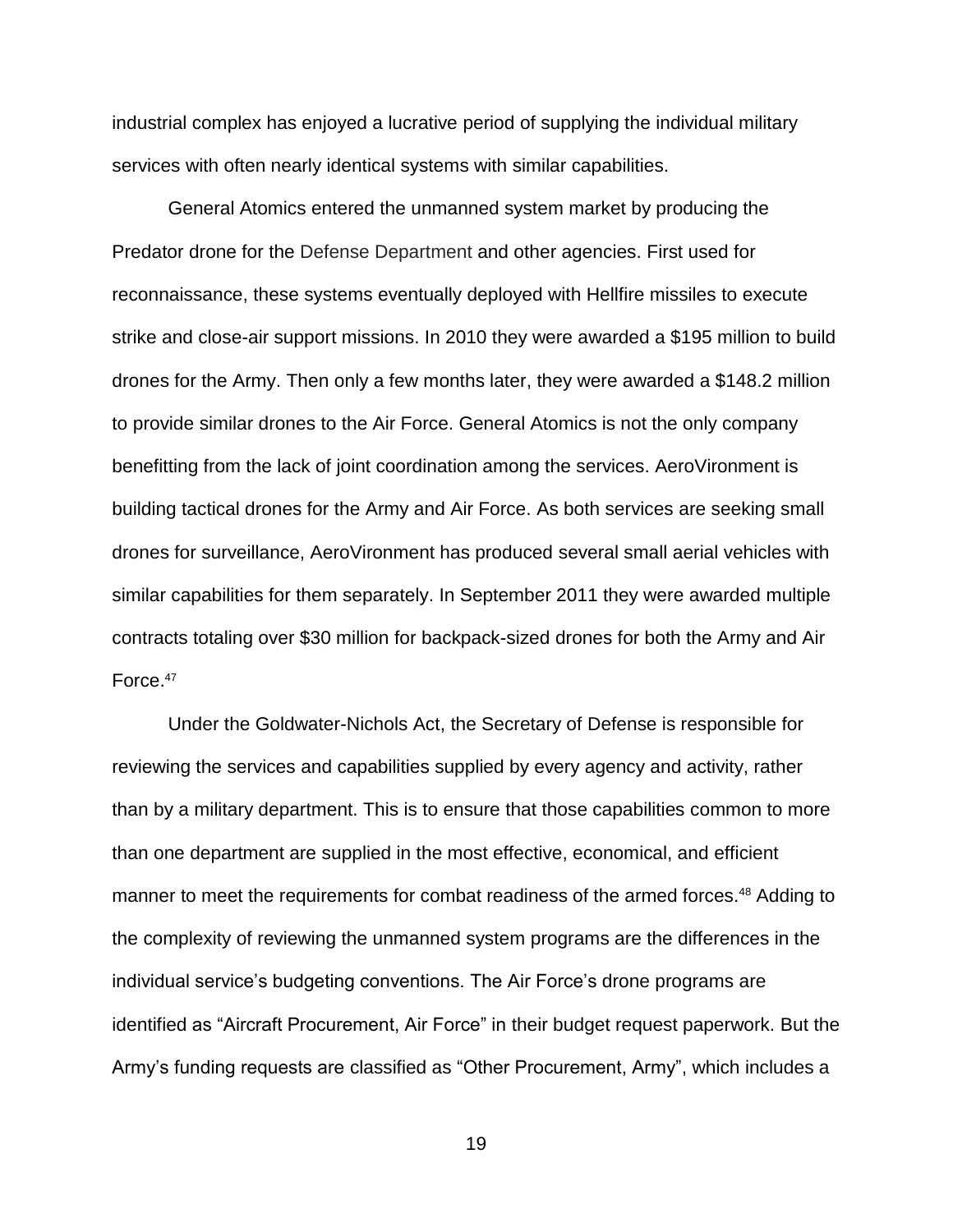industrial complex has enjoyed a lucrative period of supplying the individual military services with often nearly identical systems with similar capabilities.

General Atomics entered the unmanned system market by producing the Predator drone for the Defense Department and other agencies. First used for reconnaissance, these systems eventually deployed with Hellfire missiles to execute strike and close-air support missions. In 2010 they were awarded a \$195 million to build drones for the Army. Then only a few months later, they were awarded a \$148.2 million to provide similar drones to the Air Force. General Atomics is not the only company benefitting from the lack of joint coordination among the services. AeroVironment is building tactical drones for the Army and Air Force. As both services are seeking small drones for surveillance, AeroVironment has produced several small aerial vehicles with similar capabilities for them separately. In September 2011 they were awarded multiple contracts totaling over \$30 million for backpack-sized drones for both the Army and Air Force.<sup>47</sup>

Under the Goldwater-Nichols Act, the Secretary of Defense is responsible for reviewing the services and capabilities supplied by every agency and activity, rather than by a military department. This is to ensure that those capabilities common to more than one department are supplied in the most effective, economical, and efficient manner to meet the requirements for combat readiness of the armed forces.<sup>48</sup> Adding to the complexity of reviewing the unmanned system programs are the differences in the individual service's budgeting conventions. The Air Force's drone programs are identified as "Aircraft Procurement, Air Force" in their budget request paperwork. But the Army's funding requests are classified as "Other Procurement, Army", which includes a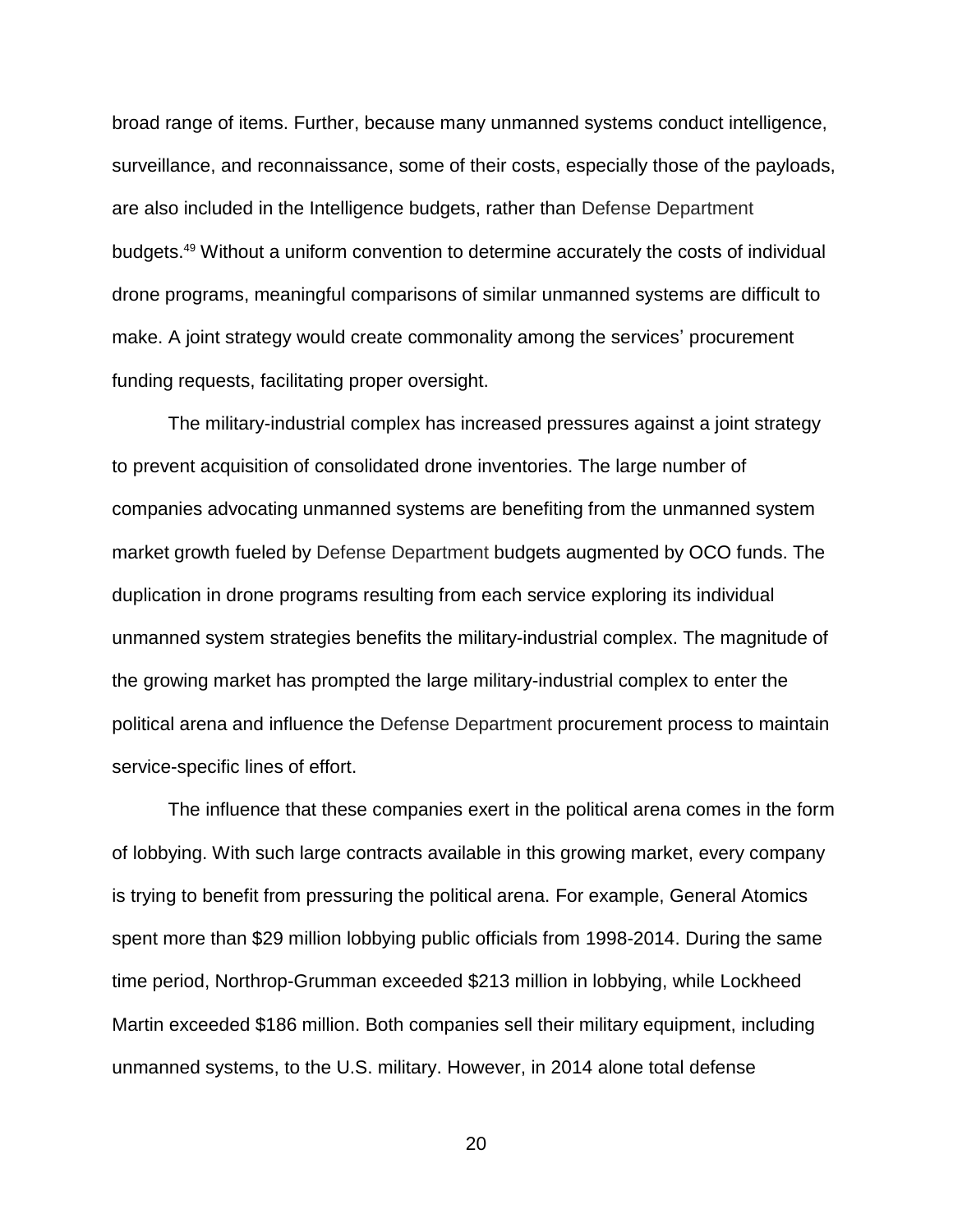broad range of items. Further, because many unmanned systems conduct intelligence, surveillance, and reconnaissance, some of their costs, especially those of the payloads, are also included in the Intelligence budgets, rather than Defense Department budgets.<sup>49</sup> Without a uniform convention to determine accurately the costs of individual drone programs, meaningful comparisons of similar unmanned systems are difficult to make. A joint strategy would create commonality among the services' procurement funding requests, facilitating proper oversight.

The military-industrial complex has increased pressures against a joint strategy to prevent acquisition of consolidated drone inventories. The large number of companies advocating unmanned systems are benefiting from the unmanned system market growth fueled by Defense Department budgets augmented by OCO funds. The duplication in drone programs resulting from each service exploring its individual unmanned system strategies benefits the military-industrial complex. The magnitude of the growing market has prompted the large military-industrial complex to enter the political arena and influence the Defense Department procurement process to maintain service-specific lines of effort.

The influence that these companies exert in the political arena comes in the form of lobbying. With such large contracts available in this growing market, every company is trying to benefit from pressuring the political arena. For example, General Atomics spent more than \$29 million lobbying public officials from 1998-2014. During the same time period, Northrop-Grumman exceeded \$213 million in lobbying, while Lockheed Martin exceeded \$186 million. Both companies sell their military equipment, including unmanned systems, to the U.S. military. However, in 2014 alone total defense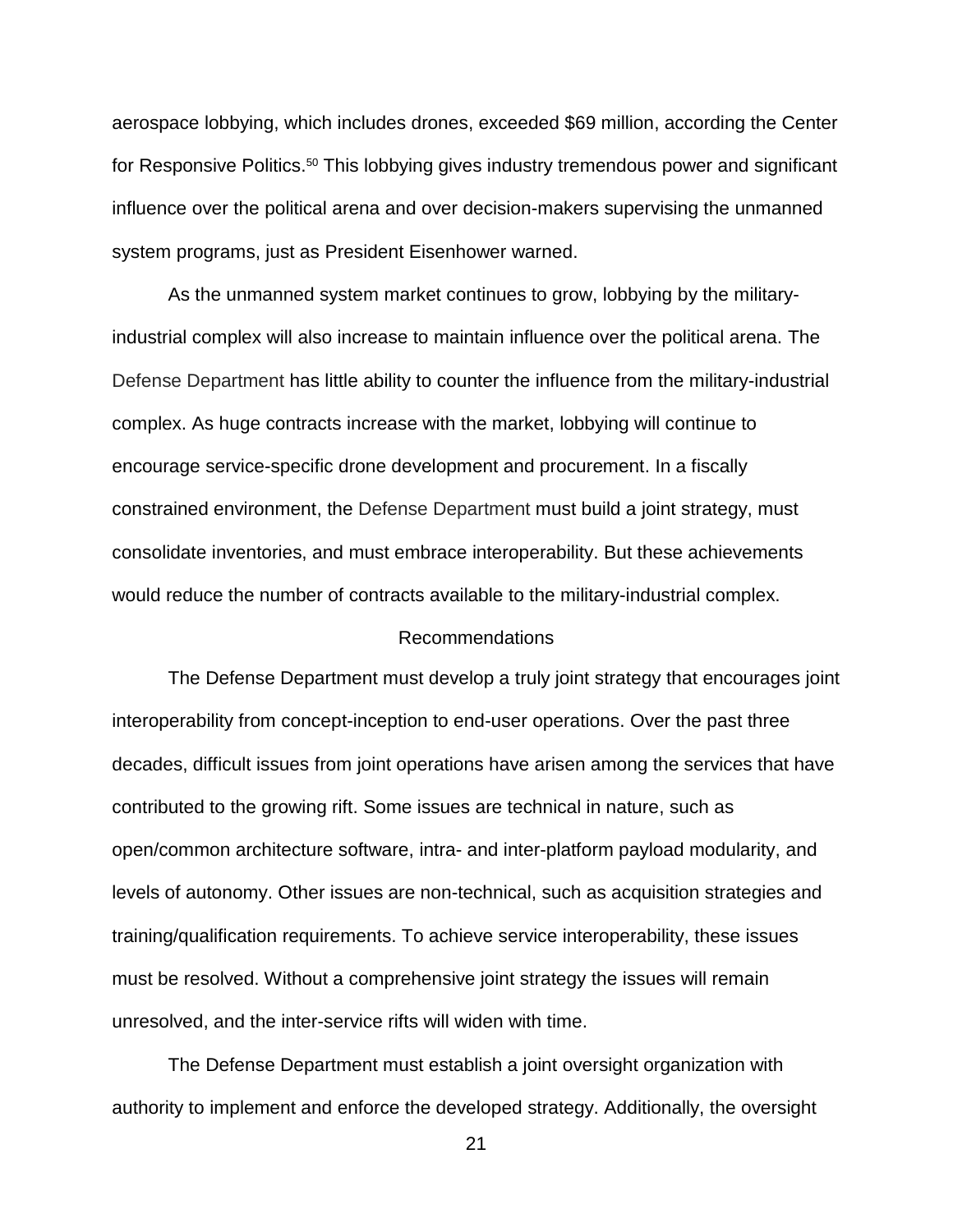aerospace lobbying, which includes drones, exceeded \$69 million, according the Center for Responsive Politics.<sup>50</sup> This lobbying gives industry tremendous power and significant influence over the political arena and over decision-makers supervising the unmanned system programs, just as President Eisenhower warned.

As the unmanned system market continues to grow, lobbying by the militaryindustrial complex will also increase to maintain influence over the political arena. The Defense Department has little ability to counter the influence from the military-industrial complex. As huge contracts increase with the market, lobbying will continue to encourage service-specific drone development and procurement. In a fiscally constrained environment, the Defense Department must build a joint strategy, must consolidate inventories, and must embrace interoperability. But these achievements would reduce the number of contracts available to the military-industrial complex.

### Recommendations

The Defense Department must develop a truly joint strategy that encourages joint interoperability from concept-inception to end-user operations. Over the past three decades, difficult issues from joint operations have arisen among the services that have contributed to the growing rift. Some issues are technical in nature, such as open/common architecture software, intra- and inter-platform payload modularity, and levels of autonomy. Other issues are non-technical, such as acquisition strategies and training/qualification requirements. To achieve service interoperability, these issues must be resolved. Without a comprehensive joint strategy the issues will remain unresolved, and the inter-service rifts will widen with time.

The Defense Department must establish a joint oversight organization with authority to implement and enforce the developed strategy. Additionally, the oversight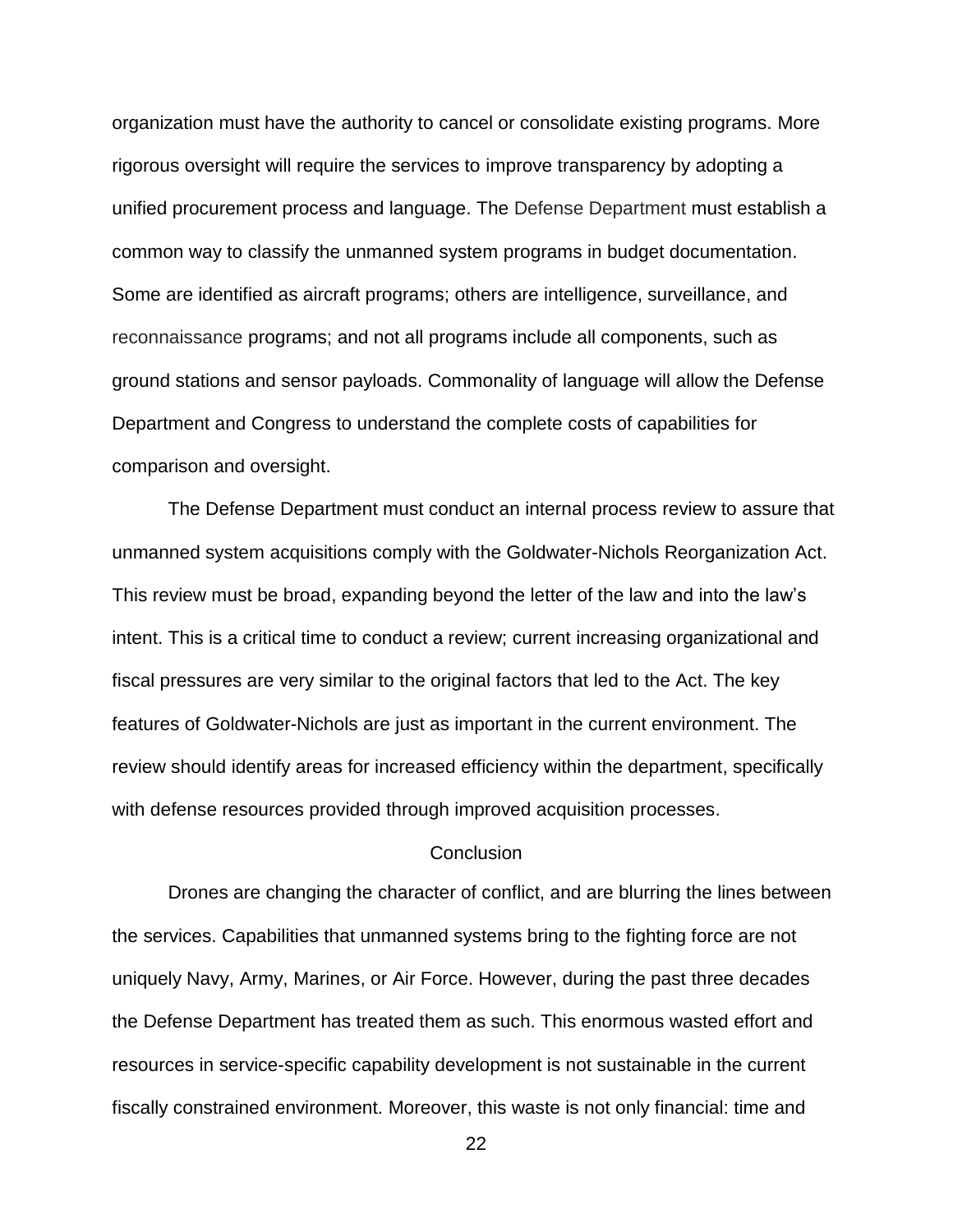organization must have the authority to cancel or consolidate existing programs. More rigorous oversight will require the services to improve transparency by adopting a unified procurement process and language. The Defense Department must establish a common way to classify the unmanned system programs in budget documentation. Some are identified as aircraft programs; others are intelligence, surveillance, and reconnaissance programs; and not all programs include all components, such as ground stations and sensor payloads. Commonality of language will allow the Defense Department and Congress to understand the complete costs of capabilities for comparison and oversight.

The Defense Department must conduct an internal process review to assure that unmanned system acquisitions comply with the Goldwater-Nichols Reorganization Act. This review must be broad, expanding beyond the letter of the law and into the law's intent. This is a critical time to conduct a review; current increasing organizational and fiscal pressures are very similar to the original factors that led to the Act. The key features of Goldwater-Nichols are just as important in the current environment. The review should identify areas for increased efficiency within the department, specifically with defense resources provided through improved acquisition processes.

### **Conclusion**

Drones are changing the character of conflict, and are blurring the lines between the services. Capabilities that unmanned systems bring to the fighting force are not uniquely Navy, Army, Marines, or Air Force. However, during the past three decades the Defense Department has treated them as such. This enormous wasted effort and resources in service-specific capability development is not sustainable in the current fiscally constrained environment. Moreover, this waste is not only financial: time and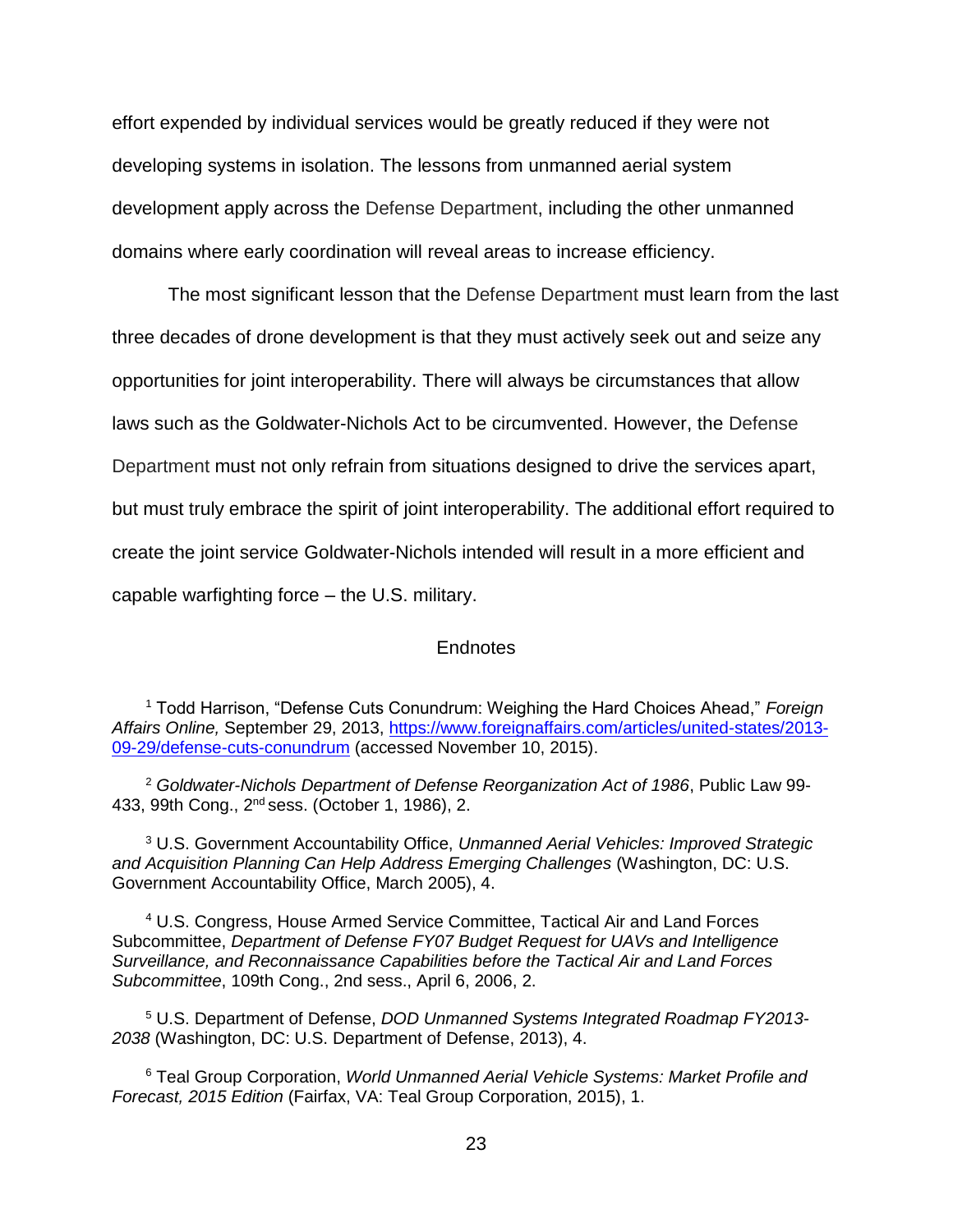effort expended by individual services would be greatly reduced if they were not developing systems in isolation. The lessons from unmanned aerial system development apply across the Defense Department, including the other unmanned domains where early coordination will reveal areas to increase efficiency.

The most significant lesson that the Defense Department must learn from the last three decades of drone development is that they must actively seek out and seize any opportunities for joint interoperability. There will always be circumstances that allow laws such as the Goldwater-Nichols Act to be circumvented. However, the Defense Department must not only refrain from situations designed to drive the services apart, but must truly embrace the spirit of joint interoperability. The additional effort required to create the joint service Goldwater-Nichols intended will result in a more efficient and capable warfighting force – the U.S. military.

### Endnotes

<sup>1</sup> Todd Harrison, "Defense Cuts Conundrum: Weighing the Hard Choices Ahead," *Foreign Affairs Online,* September 29, 2013, [https://www.foreignaffairs.com/articles/united-states/2013-](https://www.foreignaffairs.com/articles/united-states/2013-09-29/defense-cuts-conundrum) [09-29/defense-cuts-conundrum](https://www.foreignaffairs.com/articles/united-states/2013-09-29/defense-cuts-conundrum) (accessed November 10, 2015).

<sup>2</sup> *Goldwater-Nichols Department of Defense Reorganization Act of 1986*, Public Law 99- 433, 99th Cong., 2nd sess. (October 1, 1986), 2.

<sup>3</sup> U.S. Government Accountability Office, *Unmanned Aerial Vehicles: Improved Strategic and Acquisition Planning Can Help Address Emerging Challenges* (Washington, DC: U.S. Government Accountability Office, March 2005), 4.

<sup>4</sup> U.S. Congress, House Armed Service Committee, Tactical Air and Land Forces Subcommittee, *Department of Defense FY07 Budget Request for UAVs and Intelligence Surveillance, and Reconnaissance Capabilities before the Tactical Air and Land Forces Subcommittee*, 109th Cong., 2nd sess., April 6, 2006, 2.

<sup>5</sup> U.S. Department of Defense, *DOD Unmanned Systems Integrated Roadmap FY2013- 2038* (Washington, DC: U.S. Department of Defense, 2013), 4.

<sup>6</sup> Teal Group Corporation, *World Unmanned Aerial Vehicle Systems: Market Profile and Forecast, 2015 Edition* (Fairfax, VA: Teal Group Corporation, 2015), 1.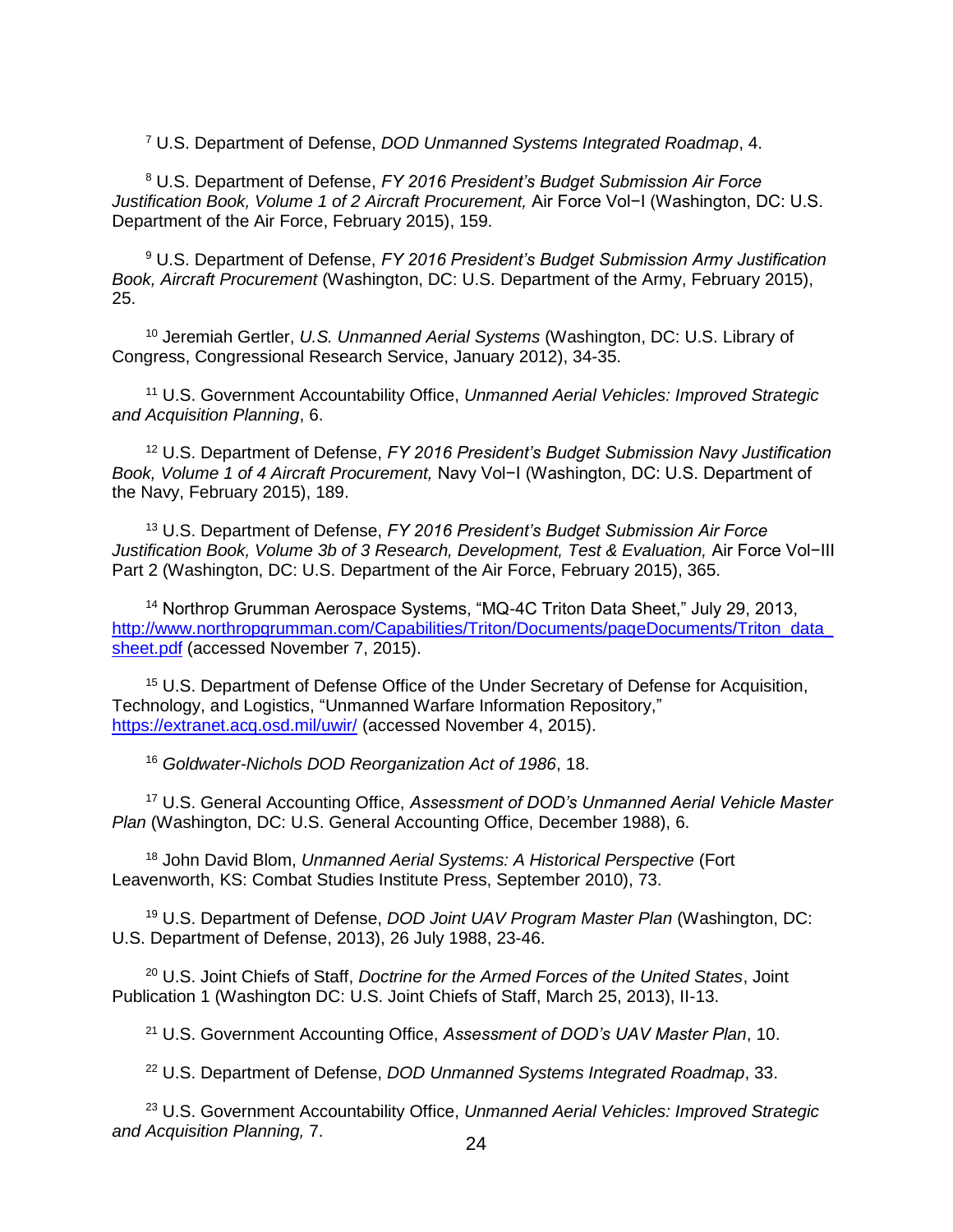<sup>7</sup> U.S. Department of Defense, *DOD Unmanned Systems Integrated Roadmap*, 4.

<sup>8</sup> U.S. Department of Defense, *FY 2016 President's Budget Submission Air Force Justification Book, Volume 1 of 2 Aircraft Procurement,* Air Force Vol−I (Washington, DC: U.S. Department of the Air Force, February 2015), 159.

<sup>9</sup> U.S. Department of Defense, *FY 2016 President's Budget Submission Army Justification Book, Aircraft Procurement* (Washington, DC: U.S. Department of the Army, February 2015), 25.

<sup>10</sup> Jeremiah Gertler, *U.S. Unmanned Aerial Systems* (Washington, DC: U.S. Library of Congress, Congressional Research Service, January 2012), 34-35.

<sup>11</sup> U.S. Government Accountability Office, *Unmanned Aerial Vehicles: Improved Strategic and Acquisition Planning*, 6.

<sup>12</sup> U.S. Department of Defense, *FY 2016 President's Budget Submission Navy Justification Book, Volume 1 of 4 Aircraft Procurement,* Navy Vol−I (Washington, DC: U.S. Department of the Navy, February 2015), 189.

<sup>13</sup> U.S. Department of Defense, *FY 2016 President's Budget Submission Air Force Justification Book, Volume 3b of 3 Research, Development, Test & Evaluation,* Air Force Vol−III Part 2 (Washington, DC: U.S. Department of the Air Force, February 2015), 365.

<sup>14</sup> Northrop Grumman Aerospace Systems, "MQ-4C Triton Data Sheet," July 29, 2013, http://www.northropgrumman.com/Capabilities/Triton/Documents/pageDocuments/Triton\_data [sheet.pdf](http://www.northropgrumman.com/Capabilities/Triton/Documents/pageDocuments/Triton_data_sheet.pdf) (accessed November 7, 2015).

<sup>15</sup> U.S. Department of Defense Office of the Under Secretary of Defense for Acquisition, Technology, and Logistics, "Unmanned Warfare Information Repository," <https://extranet.acq.osd.mil/uwir/> (accessed November 4, 2015).

<sup>16</sup> *Goldwater-Nichols DOD Reorganization Act of 1986*, 18.

<sup>17</sup> U.S. General Accounting Office, *Assessment of DOD's Unmanned Aerial Vehicle Master Plan* (Washington, DC: U.S. General Accounting Office, December 1988), 6.

<sup>18</sup> John David Blom, *Unmanned Aerial Systems: A Historical Perspective* (Fort Leavenworth, KS: Combat Studies Institute Press, September 2010), 73.

<sup>19</sup> U.S. Department of Defense, *DOD Joint UAV Program Master Plan* (Washington, DC: U.S. Department of Defense, 2013), 26 July 1988, 23-46.

<sup>20</sup> U.S. Joint Chiefs of Staff, *Doctrine for the Armed Forces of the United States*, Joint Publication 1 (Washington DC: U.S. Joint Chiefs of Staff, March 25, 2013), II-13.

<sup>21</sup> U.S. Government Accounting Office, *Assessment of DOD's UAV Master Plan*, 10.

<sup>22</sup> U.S. Department of Defense, *DOD Unmanned Systems Integrated Roadmap*, 33.

<sup>23</sup> U.S. Government Accountability Office, *Unmanned Aerial Vehicles: Improved Strategic and Acquisition Planning,* 7.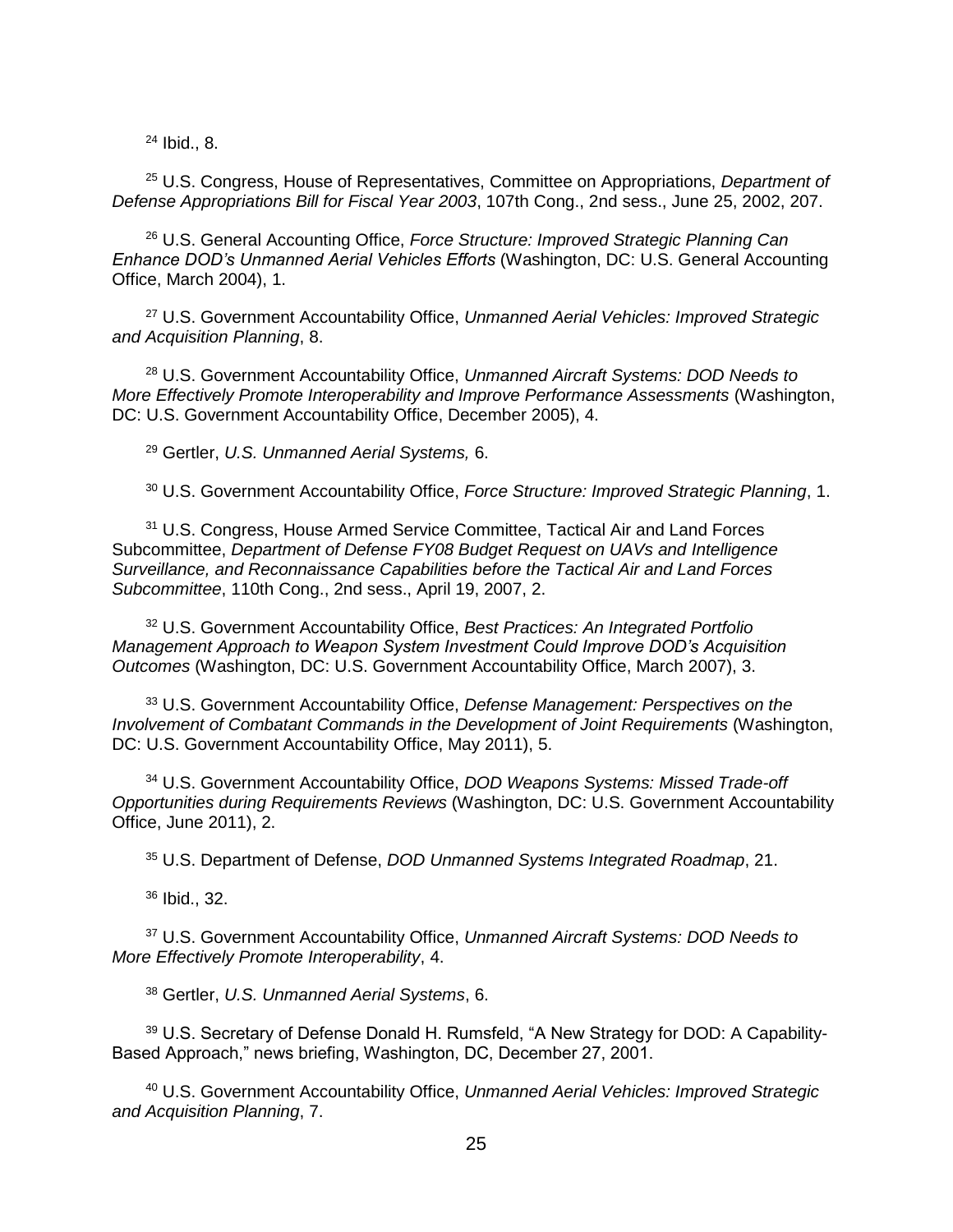<sup>24</sup> Ibid., 8.

<sup>25</sup> U.S. Congress, House of Representatives, Committee on Appropriations, *Department of Defense Appropriations Bill for Fiscal Year 2003*, 107th Cong., 2nd sess., June 25, 2002, 207.

<sup>26</sup> U.S. General Accounting Office, *Force Structure: Improved Strategic Planning Can Enhance DOD's Unmanned Aerial Vehicles Efforts* (Washington, DC: U.S. General Accounting Office, March 2004), 1.

<sup>27</sup> U.S. Government Accountability Office, *Unmanned Aerial Vehicles: Improved Strategic and Acquisition Planning*, 8.

<sup>28</sup> U.S. Government Accountability Office, *Unmanned Aircraft Systems: DOD Needs to More Effectively Promote Interoperability and Improve Performance Assessments* (Washington, DC: U.S. Government Accountability Office, December 2005), 4.

<sup>29</sup> Gertler, *U.S. Unmanned Aerial Systems,* 6.

<sup>30</sup> U.S. Government Accountability Office, *Force Structure: Improved Strategic Planning*, 1.

<sup>31</sup> U.S. Congress, House Armed Service Committee, Tactical Air and Land Forces Subcommittee, *Department of Defense FY08 Budget Request on UAVs and Intelligence Surveillance, and Reconnaissance Capabilities before the Tactical Air and Land Forces Subcommittee*, 110th Cong., 2nd sess., April 19, 2007, 2.

<sup>32</sup> U.S. Government Accountability Office, *Best Practices: An Integrated Portfolio Management Approach to Weapon System Investment Could Improve DOD's Acquisition Outcomes* (Washington, DC: U.S. Government Accountability Office, March 2007), 3.

<sup>33</sup> U.S. Government Accountability Office, *Defense Management: Perspectives on the Involvement of Combatant Commands in the Development of Joint Requirements* (Washington, DC: U.S. Government Accountability Office, May 2011), 5.

<sup>34</sup> U.S. Government Accountability Office, *DOD Weapons Systems: Missed Trade-off Opportunities during Requirements Reviews* (Washington, DC: U.S. Government Accountability Office, June 2011), 2.

<sup>35</sup> U.S. Department of Defense, *DOD Unmanned Systems Integrated Roadmap*, 21.

<sup>36</sup> Ibid., 32.

<sup>37</sup> U.S. Government Accountability Office, *Unmanned Aircraft Systems: DOD Needs to More Effectively Promote Interoperability*, 4.

<sup>38</sup> Gertler, *U.S. Unmanned Aerial Systems*, 6.

<sup>39</sup> U.S. Secretary of Defense Donald H. Rumsfeld, "A New Strategy for DOD: A Capability-Based Approach," news briefing, Washington, DC, December 27, 2001.

<sup>40</sup> U.S. Government Accountability Office, *Unmanned Aerial Vehicles: Improved Strategic and Acquisition Planning*, 7.